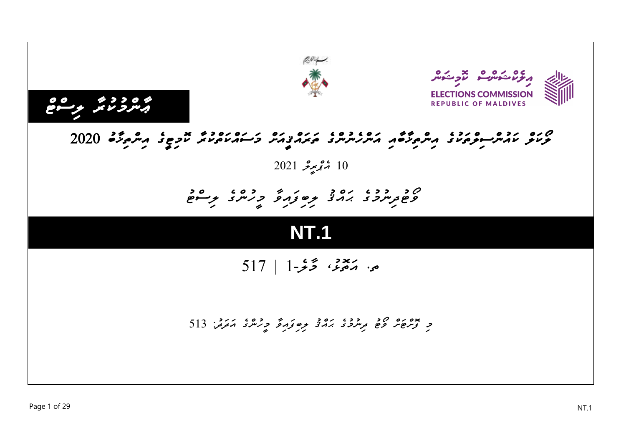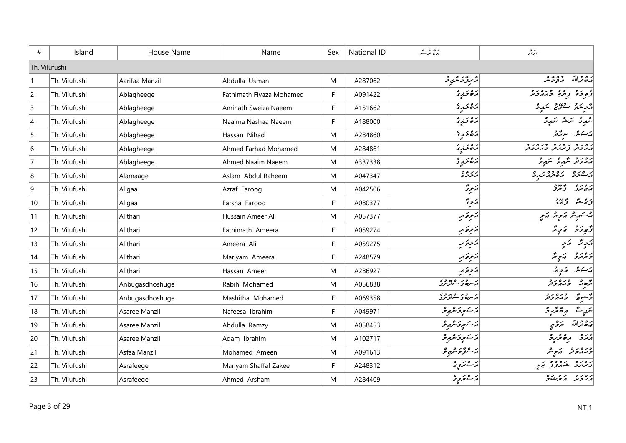| #              | Island        | House Name      | Name                     | Sex | National ID | ، ه ، بر <u>م</u>                     | يترمثر                                       |
|----------------|---------------|-----------------|--------------------------|-----|-------------|---------------------------------------|----------------------------------------------|
|                | Th. Vilufushi |                 |                          |     |             |                                       |                                              |
| 1              | Th. Vilufushi | Aarifaa Manzil  | Abdulla Usman            | M   | A287062     | ۇ ئىرۇ ئەنگە بىر                      | رە قراللە ھۇرگىر                             |
| $\overline{2}$ | Th. Vilufushi | Ablagheege      | Fathimath Fiyaza Mohamed | F   | A091422     | پره ځېږ ځ                             | توجود ومرة ورودد                             |
| 3              | Th. Vilufushi | Ablagheege      | Aminath Sweiza Naeem     | F   | A151662     | رە ئەزىر<br>مەھىرىرى                  | أثر وسرو ويرو وسره                           |
| 4              | Th. Vilufushi | Ablagheege      | Naaima Nashaa Naeem      | F   | A188000     | پره ځږي                               | شرۇ شىڭ شرە                                  |
| 5              | Th. Vilufushi | Ablagheege      | Hassan Nihad             | M   | A284860     | ر ھ <del>ک</del> رن <sub>د</sub> کا   | ىزىسەنلەر سەئەتلە                            |
| 6              | Th. Vilufushi | Ablagheege      | Ahmed Farhad Mohamed     | M   | A284861     | رە ر<br>مەخ ئ <sub>ىر</sub> ى         | נסגב גבגב בגסגב<br>הגבה ציגנה בגהבת          |
| $\overline{7}$ | Th. Vilufushi | Ablagheege      | Ahmed Naaim Naeem        | M   | A337338     | رە دۇر ،<br>مەھىرى <sub>دى</sub>      | ג' ביב יתגל יתגל                             |
| $\overline{8}$ | Th. Vilufushi | Alamaage        | Aslam Abdul Raheem       | M   | A047347     | ر ر بر »<br>در نور د                  | ג פגם גם כם גם<br>ג היוצב גם <i>נגדיני</i> ב |
| 9              | Th. Vilufushi | Aligaa          | Azraf Faroog             | M   | A042506     | بزيز                                  | پر و پر و و و و و<br>پر بع بعرفر – تو محر    |
| 10             | Th. Vilufushi | Aligaa          | Farsha Farooq            | F   | A080377     | پروڈ                                  | زیرے ژیژو                                    |
| 11             | Th. Vilufushi | Alithari        | Hussain Ameer Ali        | M   | A057377     | وكمتوحوسر                             | ير سكر مكر مكر محمد كار محمد به              |
| 12             | Th. Vilufushi | Alithari        | Fathimath Ameera         | F   | A059274     | لأحرجوسر                              | وٌوِدَهُ دَرِيزٌ                             |
| 13             | Th. Vilufushi | Alithari        | Ameera Ali               | F   | A059275     | وكمعرضو                               | ړې په په                                     |
| 14             | Th. Vilufushi | Alithari        | Mariyam Ameera           | F   | A248579     | وكمعرضو                               | ב מתכני הבית                                 |
| 15             | Th. Vilufushi | Alithari        | Hassan Ameer             | M   | A286927     | وأحرهوسر                              | يزكتش الاويل                                 |
| 16             | Th. Vilufushi | Anbugasdhoshuge | Rabih Mohamed            | M   | A056838     | د سرچ ر صور و د<br>د سرچ که سوتر برو  | محرص وره دو                                  |
| 17             | Th. Vilufushi | Anbugasdhoshuge | Mashitha Mohamed         | F   | A069358     | ر<br>پرسرچي سوترس                     | وٌ شوري وبره د و                             |
| 18             | Th. Vilufushi | Asaree Manzil   | Nafeesa Ibrahim          | F   | A049971     | ئەسەئىرى ئىرى <i>مى</i> ئى            | سَموٍے<br>ە ھەترىر ۋ                         |
| 19             | Th. Vilufushi | Asaree Manzil   | Abdulla Ramzy            | M   | A058453     | ئەسەبىر ئەنگە ئىرى <i>گ</i> ە         | ەھەتراللە<br>بروم                            |
| 20             | Th. Vilufushi | Asaree Manzil   | Adam Ibrahim             | M   | A102717     | أەسكىرە ئىرو                          | أرده بره بزرد                                |
| 21             | Th. Vilufushi | Asfaa Manzil    | Mohamed Ameen            | M   | A091613     | ئەستۇر ئەسىي بىر                      | בנסנב גבית                                   |
| 22             | Th. Vilufushi | Asrafeege       | Mariyam Shaffaf Zakee    | F   | A248312     | ى مەئىرى <sub>رى</sub> ئ              | رەرە شەھ دىر                                 |
| 23             | Th. Vilufushi | Asrafeege       | Ahmed Arsham             | M   | A284409     | ىز س <sup>ە</sup> ئىزى <sub>ر</sub> ئ | أرور والمتمر وكالمحافظ                       |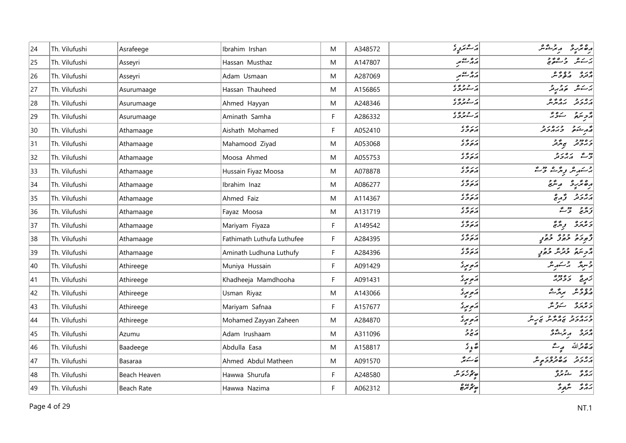| 24 | Th. Vilufushi | Asrafeege         | Ibrahim Irshan             | M  | A348572 | ئەسشەئىرىي                    |                                                                                                                        |
|----|---------------|-------------------|----------------------------|----|---------|-------------------------------|------------------------------------------------------------------------------------------------------------------------|
| 25 | Th. Vilufushi | Asseyri           | Hassan Musthaz             | M  | A147807 | لئەرىئىمىر                    | برسكس ومعوج                                                                                                            |
| 26 | Th. Vilufushi | Asseyri           | Adam Usmaan                | M  | A287069 | لئەرىئىمىر                    | أمروح وه وه                                                                                                            |
| 27 | Th. Vilufushi | Asurumaage        | Hassan Thauheed            | M  | A156865 | ر و و د »<br>پرسه پرو د       | بر كور كور بر در                                                                                                       |
| 28 | Th. Vilufushi | Asurumaage        | Ahmed Hayyan               | M  | A248346 | بر و و د »<br>پرستوبرد د      | גם גם הם בים.<br>הגבע הההתית                                                                                           |
| 29 | Th. Vilufushi | Asurumaage        | Aminath Samha              | F  | A286332 | ر و و د »<br>پرستوری          | أأروسكم سوديم                                                                                                          |
| 30 | Th. Vilufushi | Athamaage         | Aishath Mohamed            | F  | A052410 | ر ر د »<br>پره <del>ر</del> ر | و دره دره در در<br>درگاه در در در                                                                                      |
| 31 | Th. Vilufushi | Athamaage         | Mahamood Ziyad             | M  | A053068 | ر ر د »<br>پره <del>ر</del> پ | د ۱۵ دو د سر پر و<br>  د بر د تر سم پر تر                                                                              |
| 32 | Th. Vilufushi | Athamaage         | Moosa Ahmed                | M  | A055753 | ر ر د »<br>د ه د د            | وحرث أبراه ورواح                                                                                                       |
| 33 | Th. Vilufushi | Athamaage         | Hussain Fiyaz Moosa        | M  | A078878 | د ر ه ،<br>  په پور د         | ا چر سمبر میں مقرر میں اس کے مستقر<br>مسلمان میں مسلم کے مستقرر اس کے مستقرر اس کے مستقرر کے مستقرر کے مستقرر کے مستقر |
| 34 | Th. Vilufushi | Athamaage         | Ibrahim Inaz               | M  | A086277 | ر ر د »<br>د ه د د            | أرەنزىر مەشتى                                                                                                          |
| 35 | Th. Vilufushi | Athamaage         | Ahmed Faiz                 | M  | A114367 | ر ر د »<br>د ه د د            | 5.5000                                                                                                                 |
| 36 | Th. Vilufushi | Athamaage         | Fayaz Moosa                | M  | A131719 | ر ر د »<br>د ه د د            | كروج وحيث                                                                                                              |
| 37 | Th. Vilufushi | Athamaage         | Mariyam Fiyaza             | F  | A149542 | ر ر د »<br>د ه د د            | وبروو وترتج                                                                                                            |
| 38 | Th. Vilufushi | Athamaage         | Fathimath Luthufa Luthufee | F  | A284395 | ر ر د »<br>پره د د            | أو باد دوو دو                                                                                                          |
| 39 | Th. Vilufushi | Athamaage         | Aminath Ludhuna Luthufy    | F  | A284396 | ر ر د »<br>پره <del>و</del> و | أأدبته والمشروفي                                                                                                       |
| 40 | Th. Vilufushi | Athireege         | Muniya Hussain             | F. | A091429 | لرَمومرِ                      | وسرد بالمستهدر<br>وسرد بالمستهدر<br>زمریق و دولای                                                                      |
| 41 | Th. Vilufushi | Athireege         | Khadheeja Mamdhooha        | F. | A091431 | <br>  رهموسي                  |                                                                                                                        |
| 42 | Th. Vilufushi | Athireege         | Usman Riyaz                | M  | A143066 | لرموموري<br>المستعمر          | ووءة بروه                                                                                                              |
| 43 | Th. Vilufushi | Athireege         | Mariyam Safnaa             | F  | A157677 | ړ<br>د حومونه                 | رەرە بەدەر                                                                                                             |
| 44 | Th. Vilufushi | Athireege         | Mohamed Zayyan Zaheen      | M  | A284870 | <br>  مەھوىيەتى<br>           | وره د و بره و د پر د                                                                                                   |
| 45 | Th. Vilufushi | Azumu             | Adam Irushaam              | M  | A311096 | بر و و<br>پرسم تر             | أرمزو برمرشو                                                                                                           |
| 46 | Th. Vilufushi | Baadeege          | Abdulla Easa               | M  | A158817 | په په<br>ځمنو                 | پرچ ترالله پیسته                                                                                                       |
| 47 | Th. Vilufushi | Basaraa           | Ahmed Abdul Matheen        | M  | A091570 | ە ئەبۇ                        | ره دو ده ده ده و                                                                                                       |
| 48 | Th. Vilufushi | Beach Heaven      | Hawwa Shurufa              | F  | A248580 | پەنزىر ق                      | رە بە دەپ<br>بەيرى شەيرى                                                                                               |
| 49 | Th. Vilufushi | <b>Beach Rate</b> | Hawwa Nazima               | F  | A062312 | حوم من ه<br>  حوم مرجع        | برە ئە ئىنجى ئى                                                                                                        |
|    |               |                   |                            |    |         |                               |                                                                                                                        |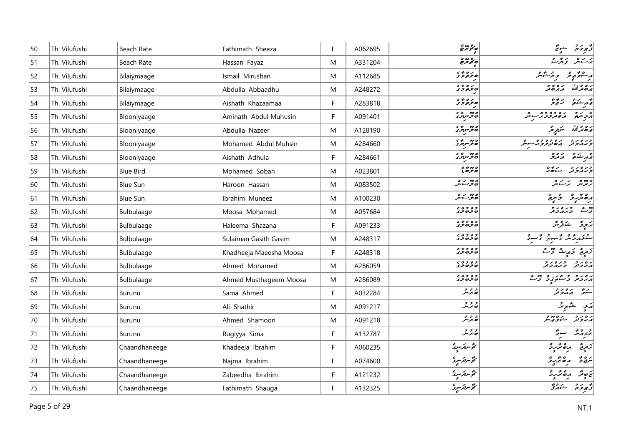| 50 | Th. Vilufushi | <b>Beach Rate</b> | Fathimath Sheeza        | F         | A062695 | <br>  مومومو                                 | $\begin{array}{cc} \xi_1 & \xi_2 & \xi_3 \\ \xi_4 & \xi_5 & \xi_6 \end{array}$                                                                             |
|----|---------------|-------------------|-------------------------|-----------|---------|----------------------------------------------|------------------------------------------------------------------------------------------------------------------------------------------------------------|
| 51 | Th. Vilufushi | <b>Beach Rate</b> | Hassan Fayaz            | ${\sf M}$ | A331204 | <br>  مومومو                                 | يرت تو قريبه                                                                                                                                               |
| 52 | Th. Vilufushi | Bilaiymaage       | Ismail Mirushan         | ${\sf M}$ | A112685 | صخره د می                                    | رىقۇرپۇ بەيگە                                                                                                                                              |
| 53 | Th. Vilufushi | Bilaiymaage       | Abdulla Abbaadhu        | M         | A248272 | ره و و ،<br>حوموز د                          | مَصْعَرِاللّهِ مَهْرَضَةِ                                                                                                                                  |
| 54 | Th. Vilufushi | Bilaiymaage       | Aishath Khazaamaa       | F         | A283818 | <br> حوځونۍ د                                | وكروشي كالمح                                                                                                                                               |
| 55 | Th. Vilufushi | Blooniyaage       | Aminath Abdul Muhusin   | F         | A091401 | 20 متر پر محمد<br>  جا محر سر پر مح          | מ ני נפיפיפים                                                                                                                                              |
| 56 | Th. Vilufushi | Blooniyaage       | Abdulla Nazeer          | ${\sf M}$ | A128190 | ه دو په په<br>موسر پر                        | رەۋاللە سَغرٍ يَر                                                                                                                                          |
| 57 | Th. Vilufushi | Blooniyaage       | Mohamed Abdul Muhsin    | ${\sf M}$ | A284660 | ه دو په ده کا                                | ورەرو رەدەدە بەھ                                                                                                                                           |
| 58 | Th. Vilufushi | Blooniyaage       | Aishath Adhula          | F         | A284661 | ە دەپەر<br>ھەر سرىرى                         | وكرم شكافي المرافر فر                                                                                                                                      |
| 59 | Th. Vilufushi | <b>Blue Bird</b>  | Mohamed Sobah           | M         | A023801 | 0 <i>4 77 0</i><br>2 0 <del>1</del> 0        | وره د و ده و                                                                                                                                               |
| 60 | Th. Vilufushi | <b>Blue Sun</b>   | Haroon Hassan           | M         | A083502 | ە دەپ ھ                                      | رموهو الإسكانكر                                                                                                                                            |
| 61 | Th. Vilufushi | <b>Blue Sun</b>   | Ibrahim Muneez          | ${\sf M}$ | A100230 | ەددىر ھ                                      | أرە ئۆر ئىس ئىس                                                                                                                                            |
| 62 | Th. Vilufushi | Bulbulaage        | Moosa Mohamed           | ${\sf M}$ | A057684 | و ه و و »<br><b>ت</b> ه نومو د               | $5,0,0,2$ $2,7$                                                                                                                                            |
| 63 | Th. Vilufushi | Bulbulaage        | Haleema Shazana         | F         | A091233 | و ه و و »<br>م <i>ه نو ه</i> تو <sub>ک</sub> | يَرْوِدُّ الْمَافْرَيْدُ                                                                                                                                   |
| 64 | Th. Vilufushi | Bulbulaage        | Sulaiman Gasith Gasim   | ${\sf M}$ | A248317 | و ه و و »<br>م <i>ه نو ه</i> تو <sub>ک</sub> | د عكر و كل المحسوم المحسوم المحسوم .<br>-<br>- كامريع الكرم المحمد المحمد المحسن المحمد المحمد المحمد المحمد المحمد المحمد المحمد المحمد المحمد المحمد الم |
| 65 | Th. Vilufushi | Bulbulaage        | Khadheeja Maeesha Moosa | F         | A248318 | د ه د د »<br>صوصور                           |                                                                                                                                                            |
| 66 | Th. Vilufushi | Bulbulaage        | Ahmed Mohamed           | ${\sf M}$ | A286059 | و ه و و »<br><b>ن</b> ه موگور                | גפני כנסני                                                                                                                                                 |
| 67 | Th. Vilufushi | Bulbulaage        | Ahmed Musthageem Moosa  | M         | A286089 | و ه و و »<br><b>ت</b> ه نومو د               | ره رو و ه ره دو د                                                                                                                                          |
| 68 | Th. Vilufushi | Burunu            | Sama Ahmed              | F         | A032284 | د د د<br>ح <i>اب</i> رس                      | سترق كەردىق                                                                                                                                                |
| 69 | Th. Vilufushi | Burunu            | Ali Shathir             | M         | A091217 | د د د<br>حامرس                               | أرشع مشهومه                                                                                                                                                |
| 70 | Th. Vilufushi | <b>Burunu</b>     | Ahmed Shamoon           | M         | A091218 | د د د<br>حامرس                               | رەرد رەددە<br>مەردىر شۈرمەش                                                                                                                                |
| 71 | Th. Vilufushi | <b>Burunu</b>     | Rugiyya Sima            | F         | A132787 | د د د<br>حامرس                               | ج <sub>رتو</sub> م پر شرد کرد.<br>مربو مربع                                                                                                                |
| 72 | Th. Vilufushi | Chaandhaneege     | Khadeeja Ibrahim        | F         | A060235 | كۇستىرسىگە                                   | تَسِعٌ مِعْتَمِرٍ                                                                                                                                          |
| 73 | Th. Vilufushi | Chaandhaneege     | Najma Ibrahim           | F         | A074600 | كۇستىرسىگە                                   | برە ئەرھىرىرو                                                                                                                                              |
| 74 | Th. Vilufushi | Chaandhaneege     | Zabeedha Ibrahim        | F         | A121232 | كۇستىرسىگە                                   |                                                                                                                                                            |
| 75 | Th. Vilufushi | Chaandhaneege     | Fathimath Shauga        | F         | A132325 | ڭرىس <i>قرىپى</i> دىگە                       | أقرار والمرويج                                                                                                                                             |
|    |               |                   |                         |           |         |                                              |                                                                                                                                                            |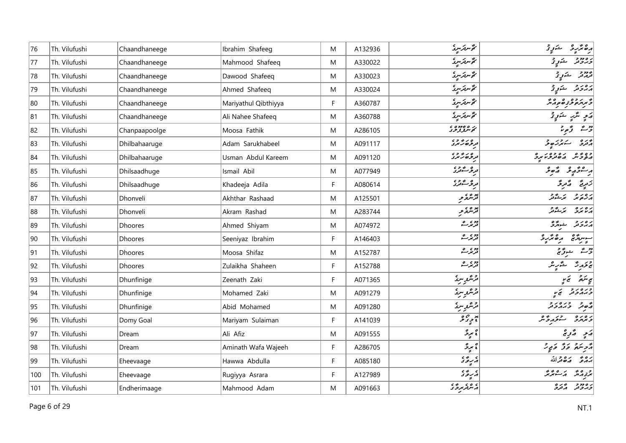| 76  | Th. Vilufushi | Chaandhaneege  | Ibrahim Shafeeq      | M  | A132936 | كۇستىرسىگە                             | ره <i>پر د</i> ه خوړ کړه<br>د <i>ه پر د</i> خوړ ځوړ د<br>د د د سندړنځه<br>حشكوتى |
|-----|---------------|----------------|----------------------|----|---------|----------------------------------------|----------------------------------------------------------------------------------|
| 77  | Th. Vilufushi | Chaandhaneege  | Mahmood Shafeeq      | M  | A330022 | كۇسرىرَسرىگە                           |                                                                                  |
| 78  | Th. Vilufushi | Chaandhaneege  | Dawood Shafeeq       | M  | A330023 | كۇسىترسرىگە                            | ر دور در دیگر میگردد.<br>محمد مردم میگردد که در میگردد                           |
| 79  | Th. Vilufushi | Chaandhaneege  | Ahmed Shafeeq        | M  | A330024 | ڭۇس <sub>ى</sub> ترس <sub>ى</sub> رىگە | رەرو شەرد                                                                        |
| 80  | Th. Vilufushi | Chaandhaneege  | Mariyathul Qibthiyya | F  | A360787 | كۇسرىرَ سرىر                           | י גבס סיפאת<br>באת אפיצו סיפאת                                                   |
| 81  | Th. Vilufushi | Chaandhaneege  | Ali Nahee Shafeeq    | M  | A360788 | ڭرىس <i>قرىب</i> رىگە                  | رَمِ عَرَبٍ حَدَوٍ تَرُ                                                          |
| 82  | Th. Vilufushi | Chanpaapoolge  | Moosa Fathik         | M  | A286105 | ر ه پروه ،<br>که سرو و د               | $\frac{1}{\frac{1}{\frac{1}{\sqrt{3}}} \cdot \frac{1}{\sqrt{3}}}$                |
| 83  | Th. Vilufushi | Dhilbahaaruge  | Adam Sarukhabeel     | M  | A091117 | و د بر و د<br>ترنون ر بر د             | وره خوزهو                                                                        |
| 84  | Th. Vilufushi | Dhilbahaaruge  | Usman Abdul Kareem   | M  | A091120 | و در ۶ و ۲<br>ترنژه رسمرد              | כפים גפים בסיגם                                                                  |
| 85  | Th. Vilufushi | Dhilsaadhuge   | Ismail Abil          | M  | A077949 | در ژگ شهر د                            | ر موڪ <sub>ھو</sub> گھو گھو گھو<br>جي گھو گھو گھو                                |
| 86  | Th. Vilufushi | Dhilsaadhuge   | Khadeeja Adila       | F. | A080614 | ور و شهر و پ                           |                                                                                  |
| 87  | Th. Vilufushi | Dhonveli       | Akhthar Rashaad      | M  | A125501 | مرعر عر                                | رەر دېرىگە                                                                       |
| 88  | Th. Vilufushi | Dhonveli       | Akram Rashad         | M  | A283744 | پره ۽<br> قرمترڪو م                    | أرەرە يرىشىر                                                                     |
| 89  | Th. Vilufushi | <b>Dhoores</b> | Ahmed Shiyam         | M  | A074972 | ود ۽ ه<br>تعريجه شک                    | رەر ئەشەر<br>مەركىر ئىس                                                          |
| 90  | Th. Vilufushi | <b>Dhoores</b> | Seeniyaz Ibrahim     | F  | A146403 | ود ۽ ه<br>تعريجه شک                    | سورين ده برره<br>در در ده برره<br>در شورين                                       |
| 91  | Th. Vilufushi | <b>Dhoores</b> | Moosa Shifaz         | M  | A152787 | دو ۽ ه                                 |                                                                                  |
| 92  | Th. Vilufushi | <b>Dhoores</b> | Zulaikha Shaheen     | F  | A152788 | ود ۽ ه                                 | ة <i>محمدة</i> المقرار                                                           |
| 93  | Th. Vilufushi | Dhunfinige     | Zeenath Zaki         | F  | A071365 | قريقربريح                              |                                                                                  |
| 94  | Th. Vilufushi | Dhunfinige     | Mohamed Zaki         | M  | A091279 | لترشد بير؟                             |                                                                                  |
| 95  | Th. Vilufushi | Dhunfinige     | Abid Mohamed         | M  | A091280 | قرینگر سرند                            | 2,012 2018                                                                       |
| 96  | Th. Vilufushi | Domy Goal      | Mariyam Sulaiman     | F  | A141039 | $\overline{\mathcal{Z}}$               | دەرە ئىزرۇش                                                                      |
| 97  | Th. Vilufushi | Dream          | Ali Afiz             | M  | A091555 | ه پرچ                                  | أتذبح المزوج                                                                     |
| 98  | Th. Vilufushi | Dream          | Aminath Wafa Wajeeh  | F  | A286705 | ه<br>٤ سرچ                             | أأرسم وأدعي                                                                      |
| 99  | Th. Vilufushi | Eheevaage      | Hawwa Abdulla        | F  | A085180 | ې په په<br>د کړې                       | بروء بره قرالله                                                                  |
| 100 | Th. Vilufushi | Eheevaage      | Rugiyya Asrara       | F  | A127989 | ې ره په<br>د                           | ىر شەتترىتر<br>حر <sub>ى</sub> مەرگە                                             |
| 101 | Th. Vilufushi | Endherimaage   | Mahmood Adam         | M  | A091663 | ې ه ډېر دي.<br>مرمر پر دي              | ره دو و ره<br>تربرو ترکرد                                                        |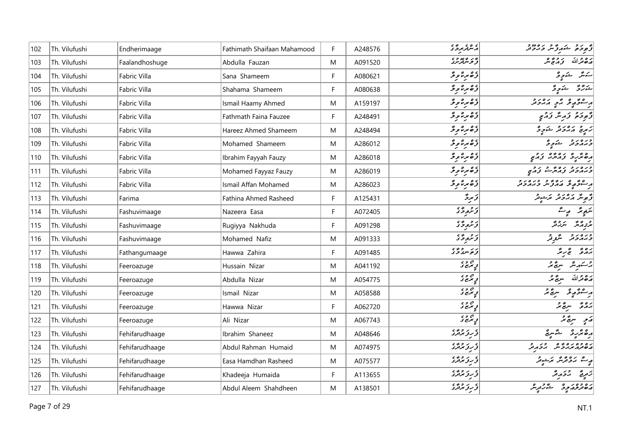| 102 | Th. Vilufushi | Endherimaage   | Fathimath Shaifaan Mahamood | F         | A248576 | پر مرکز برگری<br>  پر مرکز برگری            | و بالمحمد المعامل المعدد و المحمد المحمد المحمد المحمد المحمد المحمد المحمد المحمد المحمد المحمد الم                                                                                                                             |
|-----|---------------|----------------|-----------------------------|-----------|---------|---------------------------------------------|----------------------------------------------------------------------------------------------------------------------------------------------------------------------------------------------------------------------------------|
| 103 | Th. Vilufushi | Faalandhoshuge | Abdulla Fauzan              | M         | A091520 | ر د ه پر د د<br>تر تر سربر ر                | أرَّة مِّرَاللَّهُ وَرَجَّ مَرْ                                                                                                                                                                                                  |
| 104 | Th. Vilufushi | Fabric Villa   | Sana Shameem                | F         | A080621 | ۇ ھ <sub>ىرىم</sub> <sub>ھە</sub> ئە        | سَمَسٌ حَمَدٍ وَ                                                                                                                                                                                                                 |
| 105 | Th. Vilufushi | Fabric Villa   | Shahama Shameem             | F         | A080638 | ۇ ھ <sub>ىرىم</sub> <sub>مو</sub> مۇ        | خارصى التكافرو                                                                                                                                                                                                                   |
| 106 | Th. Vilufushi | Fabric Villa   | Ismail Haamy Ahmed          | M         | A159197 | ئۇھ بىر ن <sup>ى</sup> رىدۇ                 | ر 2,000 مجموعة 2,000 مراجعة المركزية المحمد المستخدم المستخدم المستخدم المستخدم المستخدم المستخدم المستخدم الم<br>المستخدم المستخدم المستخدم المستخدم المستخدم المستخدم المستخدم المستخدم المستخدم المستخدم المستخدم المستخدم ال |
| 107 | Th. Vilufushi | Fabric Villa   | Fathmath Faina Fauzee       | F         | A248491 | ۇ ھ <sub>ىرىم</sub> <sub>ھە</sub> ئە        | توجوخو ترمرشر ترمي                                                                                                                                                                                                               |
| 108 | Th. Vilufushi | Fabric Villa   | Hareez Ahmed Shameem        | M         | A248494 | ، ۋە برىئو ئە                               |                                                                                                                                                                                                                                  |
| 109 | Th. Vilufushi | Fabric Villa   | Mohamed Shameem             | M         | A286012 | ، ۋە برى <sub>نل</sub> و ئە                 | ورەرو ئىي و                                                                                                                                                                                                                      |
| 110 | Th. Vilufushi | Fabric Villa   | Ibrahim Fayyah Fauzy        | M         | A286018 | ئۇھىبرى <sub>م</sub> ئوقە                   | دە ئرىر زومۇ رو                                                                                                                                                                                                                  |
| 111 | Th. Vilufushi | Fabric Villa   | Mohamed Fayyaz Fauzy        | M         | A286019 | ئۇھىرى <sub>م</sub> ئوقە                    | ورەرو رەپر وردو<br>دىرمەدىر زمەر ئومىي                                                                                                                                                                                           |
| 112 | Th. Vilufushi | Fabric Villa   | Ismail Affan Mohamed        | M         | A286023 | ۇھ <sub>ىرىئ</sub> و ئ <sup>ۇ</sup>         | ת בינית בינים בינים בדי הרי בינים בינית בינית בינית בינית בינית בינית בינית בינית בינית בינית בינית בינית ביני<br>המודעים בינית בינית בינית בינית בינית בינית בינית בינית בינית בינית בינית בינית בינית בינית בינית בינית בינית  |
| 113 | Th. Vilufushi | Farima         | Fathina Ahmed Rasheed       | F         | A125431 | توموقر                                      |                                                                                                                                                                                                                                  |
| 114 | Th. Vilufushi | Fashuvimaage   | Nazeera Easa                | F         | A072405 | ۇ ئرە ئەتمى                                 | ۇ پەش مەدەر مەيدەر<br>كەن مەدەر مەيدەر<br>سۈپكى بېرىگە                                                                                                                                                                           |
| 115 | Th. Vilufushi | Fashuvimaage   | Rugiyya Nakhuda             | F         | A091298 | ۇ ئر <sub>ى</sub> ر پەر                     | ترة مركز مردير                                                                                                                                                                                                                   |
| 116 | Th. Vilufushi | Fashuvimaage   | Mohamed Nafiz               | M         | A091333 | د د په په<br>د تر <sub>کو</sub> ر د         | ورەر د شرقر                                                                                                                                                                                                                      |
| 117 | Th. Vilufushi | Fathangumaage  | Hawwa Zahira                | F         | A091485 | ر ر<br>تو <i>ه سر د</i> د                   | يَهُمْ مَسْ يَحْرِ بَدْ                                                                                                                                                                                                          |
| 118 | Th. Vilufushi | Feeroazuge     | Hussain Nizar               | M         | A041192 | و چ و ۽<br>پ <sub>ي</sub> تريج <sub>ک</sub> | 2 سەر شەرىپى بىرى<br>مەنبە                                                                                                                                                                                                       |
| 119 | Th. Vilufushi | Feeroazuge     | Abdulla Nizar               | M         | A054775 | د چ و ۽<br>پوسمبر                           | پردە قىراللە سىنج ئىر                                                                                                                                                                                                            |
| 120 | Th. Vilufushi | Feeroazuge     | Ismail Nizar                | M         | A058588 | رچ وي<br>نو پرېځ د                          | وستوقي وسيحم                                                                                                                                                                                                                     |
| 121 | Th. Vilufushi | Feeroazuge     | Hawwa Nizar                 | F         | A062720 | و چو د ۽<br>ويڏي ت                          | برەپچ<br>ستعجم                                                                                                                                                                                                                   |
| 122 | Th. Vilufushi | Feeroazuge     | Ali Nizar                   | ${\sf M}$ | A067743 | د ۶ د ه<br>نومندی د                         | أرشح المرتج تمر                                                                                                                                                                                                                  |
| 123 | Th. Vilufushi | Fehifarudhaage | Ibrahim Shaneez             | M         | A048646 | ۇرۇپرىدى<br>ئ                               | رەڭرۇ شېرى                                                                                                                                                                                                                       |
| 124 | Th. Vilufushi | Fehifarudhaage | Abdul Rahman Humaid         | ${\sf M}$ | A074975 | ۇرۇپرىدى                                    | גם כם גם כם כל כל<br>הם נקה בגבית הכתיב                                                                                                                                                                                          |
| 125 | Th. Vilufushi | Fehifarudhaage | Easa Hamdhan Rasheed        | M         | A075577 | ۇ <i>رۇ تر</i> ترى                          | ر شه بروژیر برخونر                                                                                                                                                                                                               |
| 126 | Th. Vilufushi | Fehifarudhaage | Khadeeja Humaida            | F         | A113655 | ې په د وي.<br>د برو ټروگرۍ                  | رَمِيعٌ برْدَومَّر                                                                                                                                                                                                               |
| 127 | Th. Vilufushi | Fehifarudhaage | Abdul Aleem Shahdheen       | ${\sf M}$ | A138501 | ۇرۇپرىژگە                                   | رە دەر دەستىق                                                                                                                                                                                                                    |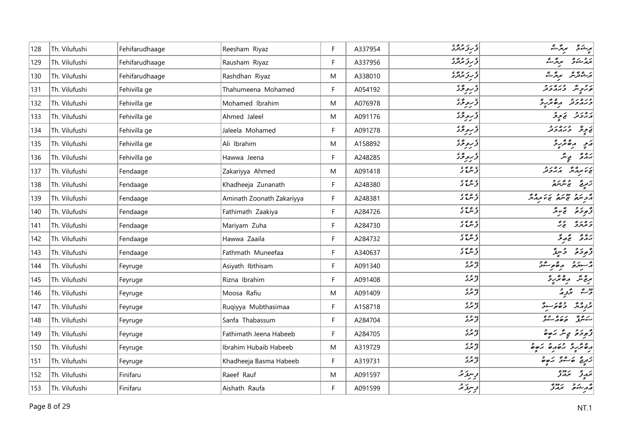| 128 | Th. Vilufushi | Fehifarudhaage | Reesham Riyaz             | $\mathsf F$ | A337954 | ا ئۇرى <i>ق چەتتى</i><br> ئۇرىق ئىرتى <i>گە</i> ت | سرور مشه<br>ا موسقہ ح<br>اسمبر میں<br>اسمبر |
|-----|---------------|----------------|---------------------------|-------------|---------|---------------------------------------------------|---------------------------------------------|
| 129 | Th. Vilufushi | Fehifarudhaage | Rausham Riyaz             | F           | A337956 | ۇرۇپرىدى                                          | برجمية                                      |
| 130 | Th. Vilufushi | Fehifarudhaage | Rashdhan Riyaz            | M           | A338010 | ۇرۇپرىژگە                                         | ىر شەقرىش بىر ئرگىشى                        |
| 131 | Th. Vilufushi | Fehivilla ge   | Thahumeena Mohamed        | F           | A054192 | ۇ رەپە ئەتى<br>تەرىپە ئى                          | ر و به دره د و در د                         |
| 132 | Th. Vilufushi | Fehivilla ge   | Mohamed Ibrahim           | M           | A076978 | ۇروڭۇ<br><u>سىرلىر</u>                            | כמחכת חסתיכ                                 |
| 133 | Th. Vilufushi | Fehivilla ge   | Ahmed Jaleel              | M           | A091176 | اء روڻوءَ<br>سرم                                  | پروتر کے پیگر                               |
| 134 | Th. Vilufushi | Fehivilla ge   | Jaleela Mohamed           | F           | A091278 | ى<br>تۈرۈپچە                                      | ړ د د د د د د د                             |
| 135 | Th. Vilufushi | Fehivilla ge   | Ali Ibrahim               | M           | A158892 | ى<br>تۈرۈپچە                                      | $5 - 20$                                    |
| 136 | Th. Vilufushi | Fehivilla ge   | Hawwa Jeena               | F           | A248285 | ې ر <sub>حو</sub> تو د                            | رەپچە سې                                    |
| 137 | Th. Vilufushi | Fendaage       | Zakariyya Ahmed           | M           | A091418 | ه ه و و د<br>توسيع د                              | בע ברי הפיב                                 |
| 138 | Th. Vilufushi | Fendaage       | Khadheeja Zunanath        | F           | A248380 | ه ه ۶ ه<br>و سره د                                | ئەرقى جائىرىدۇ                              |
| 139 | Th. Vilufushi | Fendaage       | Aminath Zoonath Zakariyya | F           | A248381 | ې ۵ پرې<br>تر مرغ ي                               | ת כית בית בין בי                            |
| 140 | Th. Vilufushi | Fendaage       | Fathimath Zaakiya         | F           | A284726 | ې و د ،<br>تر سره د                               | و مر د<br>پر<br>سي روگر                     |
| 141 | Th. Vilufushi | Fendaage       | Mariyam Zuha              | $\mathsf F$ | A284730 | ړ ه پر د<br>توسیع د                               | ر ه ر ه<br>د بربر د<br>ح تر<br>سم تر        |
| 142 | Th. Vilufushi | Fendaage       | Hawwa Zaaila              | F           | A284732 | ې و د ،<br>ز سره د                                | تج و پخه<br>ر ه بو<br>برگر                  |
| 143 | Th. Vilufushi | Fendaage       | Fathmath Muneefaa         | F           | A340637 | ه ه و د<br>و سره د                                | ۇ بور د<br>ۇ سرىگە                          |
| 144 | Th. Vilufushi | Feyruge        | Asiyath Ibthisam          | F           | A091340 | ړے و ،<br>تو سر ی                                 |                                             |
| 145 | Th. Vilufushi | Feyruge        | Rizna Ibrahim             | F           | A091408 | در و د<br>تو بو د                                 | برجيشر<br>ە ھەترىرى<br>برھەترىرى            |
| 146 | Th. Vilufushi | Feyruge        | Moosa Rafiu               | M           | A091409 | ړے و ،<br>تو سر ی                                 | ورميحه<br>بترور                             |
| 147 | Th. Vilufushi | Feyruge        | Ruqiyya Mubthasimaa       | $\mathsf F$ | A158718 | ړے و ،<br>تو سر ی                                 | وە پر دىگر<br>مەھەرسىز<br>بمرتجه مرهمر      |
| 148 | Th. Vilufushi | Feyruge        | Sanfa Thabassum           | $\mathsf F$ | A284704 | ړے و ،<br>تو سر ی                                 | سەمىر<br>بر بره وه<br>موخه پر سور           |
| 149 | Th. Vilufushi | Feyruge        | Fathimath Jeena Habeeb    | F           | A284705 | ړے و ،<br>تو سر ی                                 | ژوځو پېژبوه                                 |
| 150 | Th. Vilufushi | Feyruge        | Ibrahim Hubaib Habeeb     | M           | A319729 | ړ، و ،<br>تو بو ،                                 |                                             |
| 151 | Th. Vilufushi | Feyruge        | Khadheeja Basma Habeeb    | F           | A319731 | ړ، و ،<br>تو بو ،                                 | ر<br>زېږمنځ ځو شوه کړه ه                    |
| 152 | Th. Vilufushi | Finifaru       | Raeef Rauf                | M           | A091597 | و سوئر تر                                         | بئدوه<br>ر دده<br>بود تو                    |
| 153 | Th. Vilufushi | Finifaru       | Aishath Raufa             | F           | A091599 | و سوئر تر                                         | و دود.<br>مهر شوی بودو                      |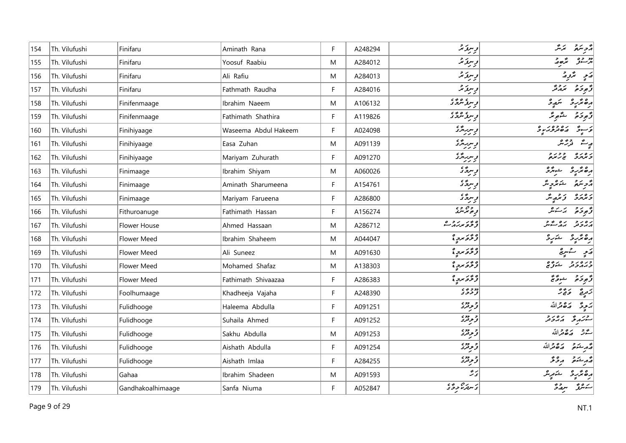| 154 | Th. Vilufushi | Finifaru            | Aminath Rana         | F  | A248294 | وسۇنم                              | ىرىتر<br>أرمز مترة                            |
|-----|---------------|---------------------|----------------------|----|---------|------------------------------------|-----------------------------------------------|
| 155 | Th. Vilufushi | Finifaru            | Yoosuf Raabiu        | M  | A284012 | و سوئړ تنر                         | دد حره<br>بڑھ پر                              |
| 156 | Th. Vilufushi | Finifaru            | Ali Rafiu            | M  | A284013 | و سرتر تر<br>سر                    | د پر برده.<br>مو                              |
| 157 | Th. Vilufushi | Finifaru            | Fathmath Raudha      | F. | A284016 | و سوتر تر                          | توجوحي<br>ر و بر<br>برد تر                    |
| 158 | Th. Vilufushi | Finifenmaage        | Ibrahim Naeem        | M  | A106132 | ر سرگە شر <i>د ؟</i>               | ە ھەترىرى<br>مەھىرىرى<br>سَمِيرة              |
| 159 | Th. Vilufushi | Finifenmaage        | Fathimath Shathira   | F  | A119826 | اربىر ئەھمىي                       | و دو ځويد                                     |
| 160 | Th. Vilufushi | Finihiyaage         | Waseema Abdul Hakeem | F  | A024098 | و سربر پر <sup>ی</sup><br>بر بر بر | ۇسۇ ئە<br>ره وه ر<br>په ۱۳۹۴ ک                |
| 161 | Th. Vilufushi | Finihiyaage         | Easa Zuhan           | M  | A091139 | و سربر پژی<br>بر بر بر             | ويستش ورمحين                                  |
| 162 | Th. Vilufushi | Finihiyaage         | Mariyam Zuhurath     | F  | A091270 | او مدر پروژه<br>گیسید              | ر ه ر ه<br>د بربر د<br>ح ح ر ح<br>سي مر بحر ح |
| 163 | Th. Vilufushi | Finimaage           | Ibrahim Shiyam       | M  | A060026 | وسرچي                              | شو پر ہ<br>ر<br>ەرھەترىر <sup>ى</sup>         |
| 164 | Th. Vilufushi | Finimaage           | Aminath Sharumeena   | F. | A154761 | وسردمى                             | و دو شورو ش                                   |
| 165 | Th. Vilufushi | Finimaage           | Mariyam Farueena     | F  | A286800 | وسردمى                             | وبره وتمهر                                    |
| 166 | Th. Vilufushi | Fithuroanuge        | Fathimath Hassan     | F  | A156274 | وه پرېږ                            | تورد بريدة                                    |
| 167 | Th. Vilufushi | <b>Flower House</b> | Ahmed Hassaan        | M  | A286712 | <i>و څر پر بر د</i> مه             | رەرو رەشتىر                                   |
| 168 | Th. Vilufushi | Flower Meed         | Ibrahim Shaheem      | M  | A044047 | ژځو <sub>تر چ</sub>                | رەندىرو خىرو<br>رەندىرو خىرو                  |
| 169 | Th. Vilufushi | <b>Flower Meed</b>  | Ali Suneez           | M  | A091630 | ژۇغە بىر ي                         |                                               |
| 170 | Th. Vilufushi | <b>Flower Meed</b>  | Mohamed Shafaz       | M  | A138303 | ژېڅو سرچ ؟                         | وره رو د دره ۵<br><i>وبر د در کشو</i> رځ      |
| 171 | Th. Vilufushi | <b>Flower Meed</b>  | Fathimath Shivaazaa  | F. | A286383 | ژځو مرح ؟                          | توجوحتم شوقدمج                                |
| 172 | Th. Vilufushi | Foolhumaage         | Khadheeja Vajaha     | F  | A248390 | دد د د »<br>تو تر د                | زَمِرِيحٌ وَمَحٌرٌ                            |
| 173 | Th. Vilufushi | Fulidhooge          | Haleema Abdulla      | F  | A091251 | وتوفرد                             | بَعِيقٌ مَهْ قَدَاللّهَ                       |
| 174 | Th. Vilufushi | Fulidhooge          | Suhaila Ahmed        | F  | A091252 | د دد ،<br>تو و تر د                | لتركير ومردد                                  |
| 175 | Th. Vilufushi | Fulidhooge          | Sakhu Abdulla        | M  | A091253 | د دد ،<br>توموترو                  | ثَرْ مَةَ مِّاللَّه                           |
| 176 | Th. Vilufushi | Fulidhooge          | Aishath Abdulla      | F  | A091254 | د دور<br>توموترد                   | صمر منحمر صكره تمرالله                        |
| 177 | Th. Vilufushi | Fulidhooge          | Aishath Imlaa        | F  | A284255 | و وده<br>تر و در                   |                                               |
| 178 | Th. Vilufushi | Gahaa               | Ibrahim Shadeen      | M  | A091593 | $\overline{\mathcal{Z}}$           |                                               |
| 179 | Th. Vilufushi | Gandhakoalhimaage   | Sanfa Niuma          | F. | A052847 | ر سرچ وي.<br>د سرچر توڅ د          |                                               |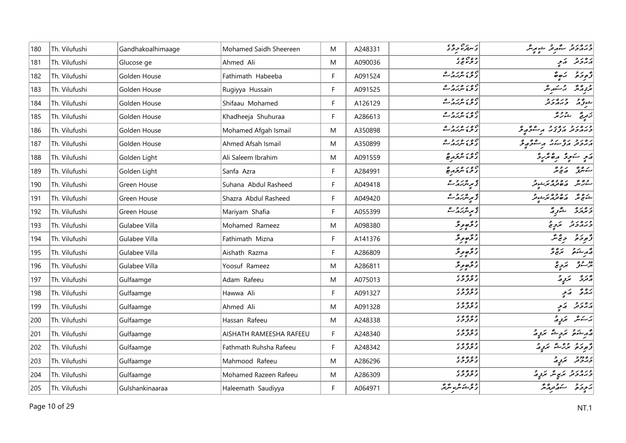| 180 | Th. Vilufushi | Gandhakoalhimaage    | Mohamed Saidh Sheereen  | M           | A248331 | <br>  ئەستىرىنا بىر ئى                                            | ورەرو شەرىر جەيدىر                                                      |
|-----|---------------|----------------------|-------------------------|-------------|---------|-------------------------------------------------------------------|-------------------------------------------------------------------------|
| 181 | Th. Vilufushi | Glucose ge           | Ahmed Ali               | M           | A090036 |                                                                   | پرورو کرم                                                               |
| 182 | Th. Vilufushi | Golden House         | Fathimath Habeeba       | F           | A091524 | ەرەرەرە<br><mark>ئىسىزىر ش</mark> ىر                              | ا تو پر د<br>برَحوَّةٌ                                                  |
| 183 | Th. Vilufushi | Golden House         | Rugiyya Hussain         | F           | A091525 | ە يە يە يەر دەر<br>ئى يەنبەر ئەس                                  | جر سەمە بىر<br>ىر تو ەر ئىر                                             |
| 184 | Th. Vilufushi | Golden House         | Shifaau Mohamed         | F           | A126129 | ە ە ر ەر د مە                                                     | شوقر <i>۾</i><br>و رە ر د<br>تر پر تر تر                                |
| 185 | Th. Vilufushi | Golden House         | Khadheeja Shuhuraa      | F           | A286613 | ە ە رەر دە<br>ئەمەنگەرگە                                          | تزويعً = سقور مرَّ                                                      |
| 186 | Th. Vilufushi | Golden House         | Mohamed Afgah Ismail    | M           | A350898 | ە مەم مەم دە<br><mark>ئى</mark> رى ئىرىركەت                       | ورەرو رەرو مرتگوگو                                                      |
| 187 | Th. Vilufushi | Golden House         | Ahmed Afsah Ismail      | M           | A350899 | ە يە يەر دەر<br>ئەمەندىن مەركىسى                                  | גפנק גם גב גם בקב                                                       |
| 188 | Th. Vilufushi | Golden Light         | Ali Saleem Ibrahim      | M           | A091559 | جوءِ عر <i>وب</i> ر ۾                                             | ړنې خوږې ره ټرېږ                                                        |
| 189 | Th. Vilufushi | Golden Light         | Sanfa Azra              | F           | A284991 | م وي عر <sub>ج مر</sub> بع<br> -<br> -                            | ستاندي پر پرچ                                                           |
| 190 | Th. Vilufushi | <b>Green House</b>   | Suhana Abdul Rasheed    | F           | A049418 | ا پې پېړۍ د مخلکې له د مخلکې لري.<br>انو سپه پېړۍ مخلکې           | روم ده ده وه د رود.<br>سارس می فرم مرشونر                               |
| 191 | Th. Vilufushi | Green House          | Shazra Abdul Rasheed    | F           | A049420 | پی پی پر پر جات<br>  پی پی پی پر پر جات                           | ره ده در ۲۵۶۵ در در در در در استانتر کند.<br>مشویم کار اور هم کار موسیق |
| 192 | Th. Vilufushi | Green House          | Mariyam Shafia          | F           | A055399 | اءِ <sub>موس</sub> ور جا<br>ا <sub>نح</sub> موس <sup>و</sup> ر جا | و ورو ځوړ                                                               |
| 193 | Th. Vilufushi | <b>Gulabee Villa</b> | Mohamed Rameez          | M           | A098380 | <br>  ئەقرە موقر                                                  | و رە ر د<br>تر پر تر تر<br>بمردع                                        |
| 194 | Th. Vilufushi | <b>Gulabee Villa</b> | Fathimath Mizna         | F           | A141376 | ۇ ئۇھ <sub>ا</sub> بو ئە                                          | أزَّوِدَهُ دِجْتُر                                                      |
| 195 | Th. Vilufushi | Gulabee Villa        | Aishath Razma           | F           | A286809 | د ژ <sub>ھ</sub> و ژ                                              | و ده ده و ده د                                                          |
| 196 | Th. Vilufushi | Gulabee Villa        | Yoosuf Rameez           | M           | A286811 | دځوه دځه                                                          | دد و ه<br>در سور<br>بمرجع                                               |
| 197 | Th. Vilufushi | Gulfaamge            | Adam Rafeeu             | M           | A075013 | و ه و ه ه ،<br>د <del>و</del> تو <del>و</del> د                   | پە تەرە<br>مەنىرى<br>بمروج                                              |
| 198 | Th. Vilufushi | Gulfaamge            | Hawwa Ali               | E           | A091327 |                                                                   | رەپچ<br>رځ په                                                           |
| 199 | Th. Vilufushi | Gulfaamge            | Ahmed Ali               | M           | A091328 | وه پ <sup>ر</sup> ه بر<br>د <del>و</del> تو و د                   | أزور وسيمج                                                              |
| 200 | Th. Vilufushi | Gulfaamge            | Hassan Rafeeu           | M           | A248338 | وه و ه ه ،<br>  <mark>د نرت</mark> ر و د                          | يُرْسَدُ اللَّهُ اللَّهُ عَلَيْهِ مِنْ                                  |
| 201 | Th. Vilufushi | Gulfaamge            | AISHATH RAMEESHA RAFEEU | $\mathsf F$ | A248340 | وه پره د<br>د <del>و</del> نو و د                                 | أَمَّ مِنْ مَوَ مِنْ مَرْبِهِ مِنْ                                      |
| 202 | Th. Vilufushi | Gulfaamge            | Fathmath Ruhsha Rafeeu  | F           | A248342 | وه پره ،<br>د <del>و</del> نو <del>و</del> د                      | ژُودو در شه ټرړ                                                         |
| 203 | Th. Vilufushi | Gulfaamge            | Mahmood Rafeeu          | M           | A286296 | د ه و ه ه ،<br>د ترتر تر د                                        | د ۱۶۵۵ مرکز د                                                           |
| 204 | Th. Vilufushi | Gulfaamge            | Mohamed Razeen Rafeeu   | M           | A286309 | وه پ <sup>ر</sup> ه پ<br><sub>ک</sub> نوتو تر <sub>ک</sub>        | ورورو تريم الله المعلم الملام                                           |
| 205 | Th. Vilufushi | Gulshankinaaraa      | Haleemath Saudiyya      | F.          | A064971 | <mark>ۇۋشەھرىيە ئىرىگە</mark>                                     | أروح مستمده والمحمد                                                     |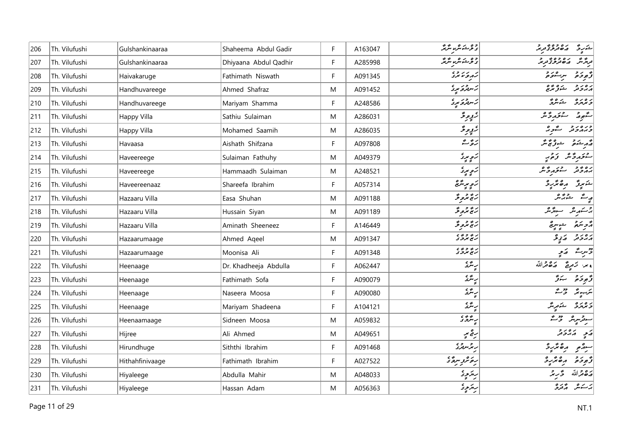| 206 | Th. Vilufushi | Gulshankinaaraa | Shaheema Abdul Gadir  | F           | A163047 | د و ځه شر <sub>مو</sub> شریگه                                                                                     | شرر ده ده وروس<br>شرر ماه مروس و                |
|-----|---------------|-----------------|-----------------------|-------------|---------|-------------------------------------------------------------------------------------------------------------------|-------------------------------------------------|
| 207 | Th. Vilufushi | Gulshankinaaraa | Dhiyaana Abdul Qadhir | $\mathsf F$ | A285998 | <br>  ئەقرىئەنلىرىدىگە                                                                                            |                                                 |
| 208 | Th. Vilufushi | Haivakaruge     | Fathimath Niswath     | F           | A091345 | ئەرەكتىمى<br>                                                                                                     |                                                 |
| 209 | Th. Vilufushi | Handhuvareege   | Ahmed Shafraz         | M           | A091452 | ر سر پر کار پاکستان کردند<br>مسیر کار کار کار کار کردن کردن کار کردن کردن کردن کردن کردن کردن کار کردن کار کردن ک | ره رو دره ده<br>درونر شور پرچ                   |
| 210 | Th. Vilufushi | Handhuvareege   | Mariyam Shamma        | F           | A248586 | ر سرچر <sub>کار ک</sub> ے                                                                                         | ے شریحہ<br>ر ه ر ه<br><del>د</del> بربرگر       |
| 211 | Th. Vilufushi | Happy Villa     | Sathiu Sulaiman       | M           | A286031 | ر<br>روپوټر                                                                                                       | سەخەر ۋىتر<br>ستهجره                            |
| 212 | Th. Vilufushi | Happy Villa     | Mohamed Saamih        | M           | A286035 | ر و و د                                                                                                           | ورەرو ئور                                       |
| 213 | Th. Vilufushi | Havaasa         | Aishath Shifzana      | F           | A097808 | ر پۇشە                                                                                                            | ۇرمۇق سۆزىتى                                    |
| 214 | Th. Vilufushi | Haveereege      | Sulaiman Fathuhy      | M           | A049379 | ر<br>سره بېرنه                                                                                                    | لتؤرثه زوبر                                     |
| 215 | Th. Vilufushi | Haveereege      | Hammaadh Sulaiman     | M           | A248521 | ر<br>سره مورد<br>سر                                                                                               | , 220 - 27 בי 20<br>גוגריג הבגבית               |
| 216 | Th. Vilufushi | Haveereenaaz    | Shareefa Ibrahim      | F           | A057314 | ائەھ بىرىتىقى<br>كەنسىيە                                                                                          | دە ئەرد<br>اڪسمبرڙ<br>ح                         |
| 217 | Th. Vilufushi | Hazaaru Villa   | Easa Shuhan           | M           | A091188 | ئەنچ ئۆرۈڭە                                                                                                       | ر گە ئىش ئىرگىر                                 |
| 218 | Th. Vilufushi | Hazaaru Villa   | Hussain Siyan         | M           | A091189 | ئەنچ ئىزىرىگە                                                                                                     | جر سکھر میں سورشر<br>مرید میں مسیر              |
| 219 | Th. Vilufushi | Hazaaru Villa   | Aminath Sheeneez      | $\mathsf F$ | A146449 | ر پ <sub>ر چم</sub> و پژ                                                                                          |                                                 |
| 220 | Th. Vilufushi | Hazaarumaage    | Ahmed Aqeel           | M           | A091347 | ر ۶ و ۶ ی<br>رسخ مرو ی                                                                                            | أرور و المتحفظ                                  |
| 221 | Th. Vilufushi | Hazaarumaage    | Moonisa Ali           | F           | A091348 | ر پر و پر ی<br>ربح بور <del></del> و                                                                              | در سر گ<br>حس<br>$\frac{1}{2}$                  |
| 222 | Th. Vilufushi | Heenaage        | Dr. Khadheeja Abdulla | F           | A062447 | ر پېژند<br>ئو                                                                                                     | ، مَسِيعٌ صَ <b>صَحْر</b> اللّه                 |
| 223 | Th. Vilufushi | Heenaage        | Fathimath Sofa        | F           | A090079 | ر پٿري<br>په                                                                                                      | ۇۋۇۋە بىۇ                                       |
| 224 | Th. Vilufushi | Heenaage        | Naseera Moosa         | F           | A090080 | ر پڻري<br>پر                                                                                                      | حز مشر<br>ىئەسىزىتى<br>ئ                        |
| 225 | Th. Vilufushi | Heenaage        | Mariyam Shadeena      | F           | A104121 | ر پٿري<br>په                                                                                                      | ر ه ر ه<br>د بربرگ<br>شەكىرىىگر                 |
| 226 | Th. Vilufushi | Heenaamaage     | Sidneen Moosa         | M           | A059832 | رېتر <del>د</del> ی                                                                                               | سىتر سەر بەر مەسىر<br>مەسىر                     |
| 227 | Th. Vilufushi | Hijree          | Ali Ahmed             | M           | A049651 | رقع مړ                                                                                                            | أقهم المردور                                    |
| 228 | Th. Vilufushi | Hirundhuge      | Siththi Ibrahim       | F           | A091468 | ر تر سرچري                                                                                                        |                                                 |
| 229 | Th. Vilufushi | Hithahfinivaage | Fathimath Ibrahim     | F           | A027522 | ىرە ئىرو بىرە ئى                                                                                                  | ە ھەمرىر 2<br>برھىمرىر 3<br>و پر د<br>ترجو پر پ |
| 230 | Th. Vilufushi | Hiyaleege       | Abdulla Mahir         | M           | A048033 | رېزېږ <sup>ي</sup>                                                                                                | <mark>برە ت</mark> راللە<br>د سرچ<br>ر          |
| 231 | Th. Vilufushi | Hiyaleege       | Hassan Adam           | M           | A056363 | رېزىپە <sup>ي</sup>                                                                                               | برَسكان الركارة                                 |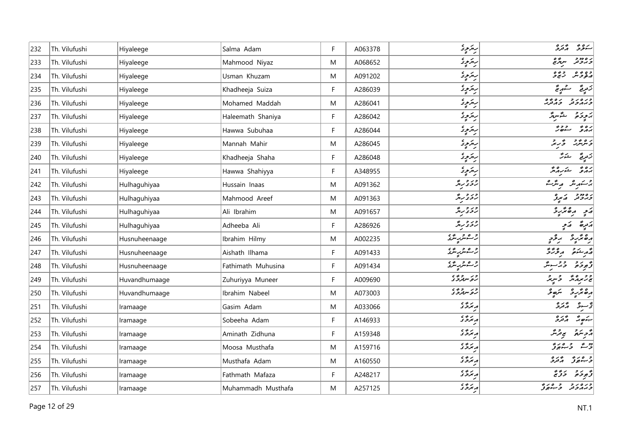| 232 | Th. Vilufushi | Hiyaleege     | Salma Adam         | F  | A063378 | رېزېږ <sup>ي</sup><br>م             | پەر ە<br>مەنىرى<br>سەۋۋ                            |
|-----|---------------|---------------|--------------------|----|---------|-------------------------------------|----------------------------------------------------|
| 233 | Th. Vilufushi | Hiyaleege     | Mahmood Niyaz      | M  | A068652 | رېزىپە<br>بە                        | ر ٥ دو و<br>تر بر تر تر<br>سرچرم                   |
| 234 | Th. Vilufushi | Hiyaleege     | Usman Khuzam       | M  | A091202 | رېزىپە<br>بە                        | ج ج ح<br>نريخ حر<br>و ه و مه<br>مرغ مگر            |
| 235 | Th. Vilufushi | Hiyaleege     | Khadheeja Suiza    | F  | A286039 | رېزون <sub>ځ</sub>                  | تر ورقع<br> <br>ستهريخ                             |
| 236 | Th. Vilufushi | Hiyaleege     | Mohamed Maddah     | M  | A286041 | ىرەترىپى<br>مەسىر                   | و رە ر د<br>تر پر تر تر<br>ر ه و <i>و</i>          |
| 237 | Th. Vilufushi | Hiyaleege     | Haleemath Shaniya  | F  | A286042 | ىر پىرىمى<br>مە                     | يَدِدَهُ شَمْسِرٌ                                  |
| 238 | Th. Vilufushi | Hiyaleege     | Hawwa Subuhaa      | F. | A286044 | رېزىپە <sup>ي</sup>                 | برەپچ<br>سنھڻ                                      |
| 239 | Th. Vilufushi | Hiyaleege     | Mannah Mahir       | M  | A286045 | رېزونه<br>ر                         | ىر مەر <i>بۇر</i><br>ۇرىر                          |
| 240 | Th. Vilufushi | Hiyaleege     | Khadheeja Shaha    | F  | A286048 | رېزونه                              | كَامِيعٌ الشكل<br>الكاملي<br>أمام هام الشكل المحمد |
| 241 | Th. Vilufushi | Hiyaleege     | Hawwa Shahiyya     | F  | A348955 | رېزىپە<br>بە                        |                                                    |
| 242 | Th. Vilufushi | Hulhaguhiyaa  | Hussain Inaas      | M  | A091362 | ژ ژ ژ بر پژ                         | يز سەر شەھر بە ئەرسىگە                             |
| 243 | Th. Vilufushi | Hulhaguhiyaa  | Mahmood Areef      | M  | A091363 | حەر جە بەر<br>سىرىمە بەر            | دەددو رىدۇ                                         |
| 244 | Th. Vilufushi | Hulhaguhiyaa  | Ali Ibrahim        | M  | A091657 | ور و به پژ<br>رندې <sub>مر</sub> مر |                                                    |
| 245 | Th. Vilufushi | Hulhaguhiyaa  | Adheeba Ali        | F  | A286926 | د ر د در<br>رند د برگ               | ړ تورځ د کړې                                       |
| 246 | Th. Vilufushi | Husnuheenaage | Ibrahim Hilmy      | M  | A002235 | ر مەيرى <sub>ر بىرى</sub><br>ئ      |                                                    |
| 247 | Th. Vilufushi | Husnuheenaage | Aishath Ilhama     | F  | A091433 | <mark>ر مەش<sub>رىپ</sub>ىدى</mark> | د مر شو د<br>بروزة                                 |
| 248 | Th. Vilufushi | Husnuheenaage | Fathimath Muhusina | F  | A091434 | <br> ز__ئىترىپەتتى                  | أو برو ووسير                                       |
| 249 | Th. Vilufushi | Huvandhumaage | Zuhuriyya Muneer   | F. | A009690 | و ر په وه د<br>رو سربرو د           | د سرپر<br>ב 2 <sub>محر</sub> و پژ                  |
| 250 | Th. Vilufushi | Huvandhumaage | Ibrahim Nabeel     | M  | A073003 | و ر په ده د<br>رو سربرو د           | دەندە<br>سرَھ پُر                                  |
| 251 | Th. Vilufushi | Iramaage      | Gasim Adam         | M  | A033066 | وبردي                               | $rac{2}{\sqrt{2}}$<br>پە رە<br>مەنىرى              |
| 252 | Th. Vilufushi | Iramaage      | Sobeeha Adam       | F  | A146933 | وبردء                               | بنوپژ<br>پور ہ<br>مرکزو                            |
| 253 | Th. Vilufushi | Iramaage      | Aminath Zidhuna    | F  | A159348 | د پرځ                               | أأرجب المتعرفة والمحمد وترتثر                      |
| 254 | Th. Vilufushi | Iramaage      | Moosa Musthafa     | M  | A159716 | ويخردي                              | دو وره دو                                          |
| 255 | Th. Vilufushi | Iramaage      | Musthafa Adam      | M  | A160550 | د بر د ،<br>د برد د                 | د مرد و<br>پور ہ<br>مرکزو                          |
| 256 | Th. Vilufushi | Iramaage      | Fathmath Mafaza    | F. | A248217 | <br>  مر برد و                      | ۇپروچە دۇنج                                        |
| 257 | Th. Vilufushi | Iramaage      | Muhammadh Musthafa | M  | A257125 | ويخردي                              | ورەرو وەرد<br>جەيرونى ۋىبىيى                       |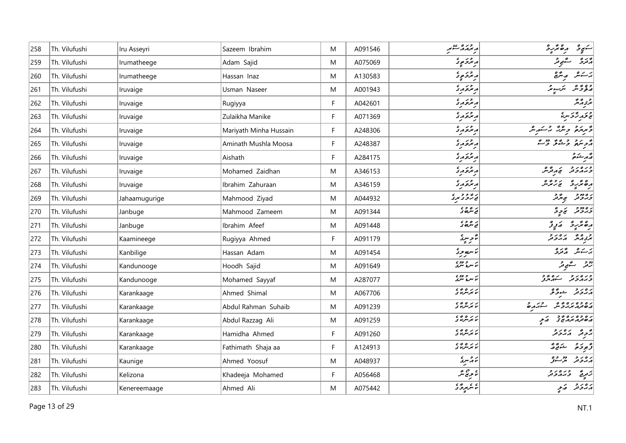| 258 | Th. Vilufushi | Iru Asseyri   | Sazeem Ibrahim         | M  | A091546 | و بره ده عمیر                                  | ە ھەترىرى<br>برھەترىرى<br>سەپچ                                                                                                                                                                                                 |
|-----|---------------|---------------|------------------------|----|---------|------------------------------------------------|--------------------------------------------------------------------------------------------------------------------------------------------------------------------------------------------------------------------------------|
| 259 | Th. Vilufushi | Irumatheege   | Adam Sajid             | M  | A075069 | ېر بر دې<br>بر بر دې                           | ر ده<br>مرگ<br>ر گھوتر                                                                                                                                                                                                         |
| 260 | Th. Vilufushi | Irumatheege   | Hassan Inaz            | M  | A130583 | ېر بر دې<br>بر بر دې                           | برسەيىتە<br>وبترج                                                                                                                                                                                                              |
| 261 | Th. Vilufushi | Iruvaige      | Usman Naseer           | M  | A001943 | وبرة وبح                                       | ە مەم بىر<br>مەمۇرىس<br>ىئەسىرىمە                                                                                                                                                                                              |
| 262 | Th. Vilufushi | Iruvaige      | Rugiyya                | F  | A042601 | وبرء                                           | برتومهم                                                                                                                                                                                                                        |
| 263 | Th. Vilufushi | Iruvaige      | Zulaikha Manike        | F  | A071369 | وبرءره                                         | چ ځرمر تر څرمر ځ<br>م                                                                                                                                                                                                          |
| 264 | Th. Vilufushi | Iruvaige      | Mariyath Minha Hussain | F  | A248306 | و برځ در ځ                                     | وتمريزه وترو ومسرير                                                                                                                                                                                                            |
| 265 | Th. Vilufushi | Iruvaige      | Aminath Mushla Moosa   | F  | A248387 | وبرء                                           | $\begin{array}{cc} 2 & 2 & 2 & 3 \ 2 & 3 & 3 & 3 \ \end{array}$                                                                                                                                                                |
| 266 | Th. Vilufushi | Iruvaige      | Aishath                | F. | A284175 | وبرځ د ځ                                       | و مر در در<br>مرگه مر                                                                                                                                                                                                          |
| 267 | Th. Vilufushi | Iruvaige      | Mohamed Zaidhan        | M  | A346153 | وبرءرء                                         | ورەرو ئەرىرىر                                                                                                                                                                                                                  |
| 268 | Th. Vilufushi | Iruvaige      | Ibrahim Zahuraan       | M  | A346159 | بر ترکو بر می                                  | - 222 222                                                                                                                                                                                                                      |
| 269 | Th. Vilufushi | Jahaamugurige | Mahmood Ziyad          | M  | A044932 | ر ۶ و و<br>ق رو و مرد                          | ג ס דב ב<br>פגב בר ה איניינג                                                                                                                                                                                                   |
| 270 | Th. Vilufushi | Janbuge       | Mahmood Zameem         | M  | A091344 | ر ۵ ۶ ء<br>قع سر <i>ھ ی</i>                    | במכני הפל                                                                                                                                                                                                                      |
| 271 | Th. Vilufushi | Janbuge       | Ibrahim Afeef          | M  | A091448 | ر ه و ء<br>قع سرگان و                          | أرە ئۆر ئەرو                                                                                                                                                                                                                   |
| 272 | Th. Vilufushi | Kaamineege    | Rugiyya Ahmed          | F  | A091179 | مٌ حرسو <sup>ي</sup><br>س                      | ב פי גפגב                                                                                                                                                                                                                      |
| 273 | Th. Vilufushi | Kanbilige     | Hassan Adam            | M  | A091454 | ر<br>ماسھوی                                    | پرستمبر محمد محمد حر                                                                                                                                                                                                           |
| 274 | Th. Vilufushi | Kandunooge    | Hoodh Sajid            | M  | A091649 | ر دوه د<br>ما سره سرد                          | اردو گ <sub>و</sub> تونر                                                                                                                                                                                                       |
| 275 | Th. Vilufushi | Kandunooge    | Mohamed Sayyaf         | M  | A287077 | ر دوه<br>با سره سرد                            | ورەرو رەپەو<br><i>دىد</i> ىرى سەيرىرى                                                                                                                                                                                          |
| 276 | Th. Vilufushi | Karankaage    | Ahmed Shimal           | M  | A067706 | ر ر ه و د ،<br>ما بر سرد د                     | رەر ئىرگە<br>مەركىر ئىرگە                                                                                                                                                                                                      |
| 277 | Th. Vilufushi | Karankaage    | Abdul Rahman Suhaib    | M  | A091239 | ر ره و د ،<br>ما <del>ب</del> رمبر <i>دا</i> د | גם כסגם מם כבר כ                                                                                                                                                                                                               |
| 278 | Th. Vilufushi | Karankaage    | Abdul Razzag Ali       | M  | A091259 | ر رەپەر<br>مايىرىنزىرى                         | גם כם גם שב בית.<br>השינו מגיש בית.                                                                                                                                                                                            |
| 279 | Th. Vilufushi | Karankaage    | Hamidha Ahmed          | F  | A091260 | ر ر ه و د ،<br>ما <del>ب</del> رس د د          | أترجع أتروجع                                                                                                                                                                                                                   |
| 280 | Th. Vilufushi | Karankaage    | Fathimath Shaja aa     | F  | A124913 | ر ره ۶۵<br>ما بر مرما د                        | و من المستوفية المستوفية المستوفية المستوفية المستوفية المستوفية المستوفية المستوفية المستوفية المستوفية المستوفية المستوفية المستوفية المستوفية المستوفية المستوفية المستوفية المستوفية المستوفية المستوفية المستوفية المستوف |
| 281 | Th. Vilufushi | Kaunige       | Ahmed Yoosuf           | M  | A048937 | پړه سرچ                                        | גם ג' בר בק<br>הגב בר ת                                                                                                                                                                                                        |
| 282 | Th. Vilufushi | Kelizona      | Khadeeja Mohamed       | F. | A056468 | ا ما موج مگر                                   | <i>و بر و ب</i> ر و<br>تر برگرفتر<br>نزىرىچ                                                                                                                                                                                    |
| 283 | Th. Vilufushi | Kenereemaage  | Ahmed Ali              | M  | A075442 | ، ئىبر <sup>ى</sup> ئ                          | رورو رَمِ                                                                                                                                                                                                                      |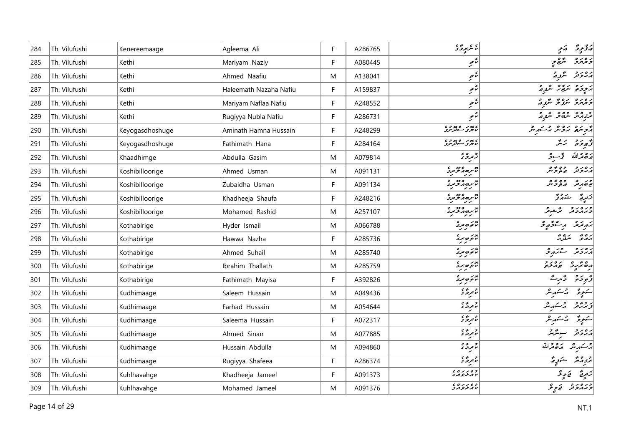| 284 | Th. Vilufushi | Kenereemaage    | Agleema Ali            | $\mathsf F$ | A286765 | ، ، ئەيرۇ ،<br>ئامىرىپرو ،            | ره و وگر<br><u>س</u><br>ەكىپىيە                                                                     |
|-----|---------------|-----------------|------------------------|-------------|---------|---------------------------------------|-----------------------------------------------------------------------------------------------------|
| 285 | Th. Vilufushi | Kethi           | Mariyam Nazly          | E           | A080445 | ء<br>مڏھي                             | وبرده<br>مترچم مح                                                                                   |
| 286 | Th. Vilufushi | Kethi           | Ahmed Naafiu           | M           | A138041 | اء<br>اع مو                           | بر ه بر د<br>م.پر <del>د</del> تر<br>سَّرُو پُر                                                     |
| 287 | Th. Vilufushi | Kethi           | Haleemath Nazaha Nafiu | F           | A159837 | ء<br>موم                              | يردد بروژ شر                                                                                        |
| 288 | Th. Vilufushi | Kethi           | Mariyam Naflaa Nafiu   | F           | A248552 | اءِ<br>اعو                            | دەرە بەۋ شرقر                                                                                       |
| 289 | Th. Vilufushi | Kethi           | Rugiyya Nubla Nafiu    | F           | A286731 | ې<br>مومو                             | و وه ووه شرو                                                                                        |
| 290 | Th. Vilufushi | Keyogasdhoshuge | Aminath Hamna Hussain  | F           | A248299 | ے پور ۔ 2 پو 3 ے<br>ما آئری سسوفر نوی | أو مرد ده و در مر                                                                                   |
| 291 | Th. Vilufushi | Keyogasdhoshuge | Fathimath Hana         | F           | A284164 | ے پور ۔ 2 پو 3 ے<br>ما آئری سسوفر نوی | قهوخو تتر                                                                                           |
| 292 | Th. Vilufushi | Khaadhimge      | Abdulla Gasim          | M           | A079814 | بچ در ہ<br>مرکز <sub>ک</sub>          | مَصْعَرَاللّه تَحْ-وَ                                                                               |
| 293 | Th. Vilufushi | Koshibilloorige | Ahmed Usman            | M           | A091131 | پر مرحد دي.<br>ما مرحد مرحد           | رەرد دەپرە                                                                                          |
| 294 | Th. Vilufushi | Koshibilloorige | Zubaidha Usman         | F           | A091134 | پر مرحوم دی.<br>ما مرحوم محرموری      | ح ئەمرىتر<br>ئ<br>چە ئە ئەرگە<br>مەنبى ئەرگە                                                        |
| 295 | Th. Vilufushi | Koshibilloorige | Khadheeja Shaufa       | F           | A248216 | ת<br>תתום היבת ב<br>ת                 |                                                                                                     |
| 296 | Th. Vilufushi | Koshibilloorige | Mohamed Rashid         | M           | A257107 | پر مرحد و د<br>مامرحد مرد             | ورەر د گرېد <mark>ى</mark> ر                                                                        |
| 297 | Th. Vilufushi | Kothabirige     | Hyder Ismail           | M           | A066788 | برر<br>مام گھ مرد<br>م                | يەدىرىمە مەستىم يو                                                                                  |
| 298 | Th. Vilufushi | Kothabirige     | Hawwa Nazha            | F           | A285736 | پر ر<br>مانځو ځوندي<br>م              | ر ه پر<br>بربر څ<br>سرەپر                                                                           |
| 299 | Th. Vilufushi | Kothabirige     | Ahmed Suhail           | M           | A285740 | بر<br>موځو مر <sup>ي</sup>            | رەرو ئەزرو                                                                                          |
| 300 | Th. Vilufushi | Kothabirige     | Ibrahim Thallath       | M           | A285759 | بور<br>مائم گھامری                    | بر و بر د<br>جوړمخ <b>ه</b><br>ەرھەترىر <sup>ى</sup>                                                |
| 301 | Th. Vilufushi | Kothabirige     | Fathimath Mayisa       | F           | A392826 | برر<br>ماه گاه مرد                    | و الله و الله علم الله علم السنة السنة السنة السنة الله علم الله علم الله الله الله علم الله الله ا |
| 302 | Th. Vilufushi | Kudhimaage      | Saleem Hussain         | M           | A049436 | د وره و<br>ما تورد د                  | برسەمەر<br>سەرو                                                                                     |
| 303 | Th. Vilufushi | Kudhimaage      | Farhad Hussain         | M           | A054644 | د وره و<br>ما مردگار                  | ر و و و<br>تو برگ فر<br>بر <sup>م</sup> سە <sub>م</sub> رىش                                         |
| 304 | Th. Vilufushi | Kudhimaage      | Saleema Hussain        | $\mathsf F$ | A072317 | د<br>ما تورد د                        | اسە پەيىچە<br>___________<br>برسەمەر                                                                |
| 305 | Th. Vilufushi | Kudhimaage      | Ahmed Sinan            | M           | A077885 | د ورځ<br>مامرچ                        | رەرو سەشھەر<br>مەردىر سەنگەنگ                                                                       |
| 306 | Th. Vilufushi | Kudhimaage      | Hussain Abdulla        | M           | A094860 | د ورځ<br>مامرونو                      | جرسكربر وكافدالله                                                                                   |
| 307 | Th. Vilufushi | Kudhimaage      | Rugiyya Shafeea        | F           | A286374 | د و و ء<br>ما فرقری                   | شَوَرٍ وَ                                                                                           |
| 308 | Th. Vilufushi | Kuhlhavahge     | Khadheeja Jameel       | F           | A091373 | وه ر ر ه ،<br>ماړ نوار د              | و وه درگر<br>مرگرم درگر<br>مر <sub>گر</sub> مج<br>تر <sub>حو</sub> ثر                               |
| 309 | Th. Vilufushi | Kuhlhavahge     | Mohamed Jameel         | M           | A091376 | و ە ر ر ە ،<br>مەر ئور د              | وره رو دره<br>در دروند نورگر                                                                        |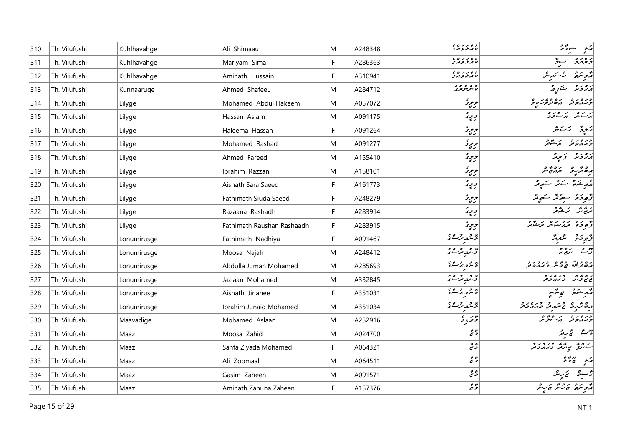| 310 | Th. Vilufushi | Kuhlhavahge | Ali Shimaau                  | M         | A248348 | وه ر ر ه ،<br>ما پر نوار د                            | $\frac{25}{1}$ = $\frac{25}{1}$      |
|-----|---------------|-------------|------------------------------|-----------|---------|-------------------------------------------------------|--------------------------------------|
| 311 | Th. Vilufushi | Kuhlhavahge | Mariyam Sima                 | F         | A286363 | وه ر ر ه ،<br>ما پر نوار د                            | ر ه ر ه<br><del>و</del> بربرو        |
| 312 | Th. Vilufushi | Kuhlhavahge | Aminath Hussain              | F         | A310941 | وه ر ر ه ،<br>ماړ نوار د                              | ۇ جىنى ئەسكىرىش                      |
| 313 | Th. Vilufushi | Kunnaaruge  | Ahmed Shafeeu                | M         | A284712 | د ه پر د ،<br>پاس پتر پور                             | رەر دېر چ                            |
| 314 | Th. Vilufushi | Lilyge      | Mohamed Abdul Hakeem         | M         | A057072 | موموتى<br>مرتو                                        |                                      |
| 315 | Th. Vilufushi | Lilyge      | Hassan Aslam                 | M         | A091175 | مومور<br>ري                                           | برسكش كالسوفر                        |
| 316 | Th. Vilufushi | Lilyge      | Haleema Hassan               | F         | A091264 | مومور<br>مربح                                         | ټرچ ټر ټر ټر شر                      |
| 317 | Th. Vilufushi | Lilyge      | Mohamed Rashad               | ${\sf M}$ | A091277 | مومودگا<br>مرگیب                                      | ورەر و پرشگر                         |
| 318 | Th. Vilufushi | Lilyge      | Ahmed Fareed                 | ${\sf M}$ | A155410 | موموتى<br>مرىچە                                       | پرور ژیوتر                           |
| 319 | Th. Vilufushi | Lilyge      | Ibrahim Razzan               | M         | A158101 | حرميرة                                                | <b>CONTO 1978</b>                    |
| 320 | Th. Vilufushi | Lilyge      | Aishath Sara Saeed           | F         | A161773 | موموته<br>مرتو                                        |                                      |
| 321 | Th. Vilufushi | Lilyge      | <b>Fathimath Siuda Saeed</b> | F         | A248279 | موموتى<br>مربو                                        | و و ده سرور کرد                      |
| 322 | Th. Vilufushi | Lilyge      | Razaana Rashadh              | F         | A283914 | مومور<br>مرتو                                         | رىيە كەن ئەرەر<br>ئىرىنى كىرىشى قىر  |
| 323 | Th. Vilufushi | Lilyge      | Fathimath Raushan Rashaadh   | F         | A283915 | مومور<br>مرتو                                         | و د د د د د و د و د                  |
| 324 | Th. Vilufushi | Lonumirusge | Fathimath Nadhiya            | F         | A091467 | بر مر بر مر مر مر و م                                 | وَجِعِدَةٍ سَرْمَرِيزٌ               |
| 325 | Th. Vilufushi | Lonumirusge | Moosa Najah                  | M         | A248412 | بۇ يۇ چەرگ ئەتى                                       | ووقت الترواح                         |
| 326 | Th. Vilufushi | Lonumirusge | Abdulla Juman Mohamed        | M         | A285693 | بریر بر می شود                                        | رە داللە بۇ ئەرەربە                  |
| 327 | Th. Vilufushi | Lonumirusge | Jazlaan Mohamed              | M         | A332845 | بر فر پر شر دی                                        | رە ۋە   درەرد<br>ق ئ ئۇس   دىرەر تر  |
| 328 | Th. Vilufushi | Lonumirusge | Aishath Jinanee              | F         | A351031 | بۇ يۇر يۇرىقمۇ                                        | وأمر ينكوهم والحاشر والمحر           |
| 329 | Th. Vilufushi | Lonumirusge | Ibrahim Junaid Mohamed       | M         | A351034 | بۇ يۇ يەر مىشى كە                                     | ת היין כי היה בינות ה                |
| 330 | Th. Vilufushi | Maavadige   | Mohamed Aslaan               | M         | A252916 | ې د مخ<br>مرغو تر                                     | ورەرو بەھۇش                          |
| 331 | Th. Vilufushi | Maaz        | Moosa Zahid                  | M         | A024700 | رچ                                                    | رضع ہم تر مقر                        |
| 332 | Th. Vilufushi | Maaz        | Sanfa Ziyada Mohamed         | F         | A064321 | $\overset{o}{\mathscr{E}}\overset{\phi}{\mathscr{P}}$ | سَمَرٌ مِ مُرَمَّدٌ وَبَرَمَّ وَمَرَ |
| 333 | Th. Vilufushi | Maaz        | Ali Zoomaal                  | M         | A064511 | رمج                                                   | $358 - 50$                           |
| 334 | Th. Vilufushi | Maaz        | Gasim Zaheen                 | M         | A091571 | $\overset{o}{\sigma} \overset{\sigma}{\sigma}$        | تچ سوچ سم پر پر                      |
| 335 | Th. Vilufushi | Maaz        | Aminath Zahuna Zaheen        | F         | A157376 | رچ                                                    | أثرم سكرة المراثير المحاربين         |
|     |               |             |                              |           |         |                                                       |                                      |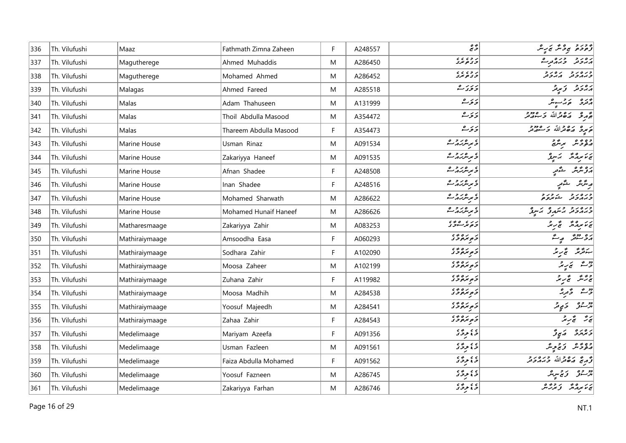| 336 | Th. Vilufushi | Maaz           | Fathmath Zimna Zaheen  | F. | A248557 | رچ                                     | ۋەدە بىر ئىر ئەر                         |
|-----|---------------|----------------|------------------------|----|---------|----------------------------------------|------------------------------------------|
| 337 | Th. Vilufushi | Magutherege    | Ahmed Muhaddis         | M  | A286450 | ر و ، ، ، ،<br>تر د حر مرد             | גפנק בנפת                                |
| 338 | Th. Vilufushi | Magutherege    | Mohamed Ahmed          | M  | A286452 | ر و ، ، ، ،<br>تر د حر مرد             | כנסנכ נסנכ<br>כגהכת הגכת                 |
| 339 | Th. Vilufushi | Malagas        | Ahmed Fareed           | M  | A285518 | ئەنزىر ھ                               | رەر تەرىر                                |
| 340 | Th. Vilufushi | Malas          | Adam Thahuseen         | M  | A131999 | ىزىمى                                  | وره در په                                |
| 341 | Th. Vilufushi | Malas          | Thoil Abdulla Masood   | M  | A354472 | ئە ئەرگ                                | مج مرح مصرالله كم معدد                   |
| 342 | Th. Vilufushi | Malas          | Thareem Abdulla Masood | F  | A354473 | ىز ئە                                  | بر و برودالله ځ سوړو                     |
| 343 | Th. Vilufushi | Marine House   | Usman Rinaz            | M  | A091534 | <i>ئى بىر شەرج ھ</i>                   | وەۋچە برىترى                             |
| 344 | Th. Vilufushi | Marine House   | Zakariyya Haneef       | M  | A091535 | ې په <i>۲۷۳ ک</i>                      | كالممروش كمسرو                           |
| 345 | Th. Vilufushi | Marine House   | Afnan Shadee           | F  | A248508 | ې په <i>۱۳۳۷ ک</i>                     | ېرو پر پر                                |
| 346 | Th. Vilufushi | Marine House   | Inan Shadee            | F. | A248516 | ۇ ب <i>ر ئەر ج</i> ى<br>ئ              | ە ئىگەش سەھىر                            |
| 347 | Th. Vilufushi | Marine House   | Mohamed Sharwath       | M  | A286622 | ء <i>َ بريدر ۾</i> گ                   | وره ر و در د<br>وبردونر شوپروه           |
| 348 | Th. Vilufushi | Marine House   | Mohamed Hunaif Haneef  | M  | A286626 | <i>ئى بىر بىر بىر 2</i>                | ورەرو وشرو ئەبرو                         |
| 349 | Th. Vilufushi | Matharesmaage  | Zakariyya Zahir        | M  | A083253 | ر ر ر ه و د ،<br><del>د</del> بو پرسوی | ى ئىكىرو بۇ ئەس ئى                       |
| 350 | Th. Vilufushi | Mathiraiymaage | Amsoodha Easa          | F  | A060293 | ىر بەرە بەر<br>قىرىمبىر                | ره دوم په مړ                             |
| 351 | Th. Vilufushi | Mathiraiymaage | Sodhara Zahir          | F  | A102090 | <br> حومره و د د                       | بەدە ئەرىر                               |
| 352 | Th. Vilufushi | Mathiraiymaage | Moosa Zaheer           | M  | A102199 | ر پره وي<br>ترمونزون                   | ژمسته نم په تر                           |
| 353 | Th. Vilufushi | Mathiraiymaage | Zuhana Zahir           | F  | A119982 | ر مره و د ،<br>د موسره د د             |                                          |
| 354 | Th. Vilufushi | Mathiraiymaage | Moosa Madhih           | M  | A284538 | ر پره وي<br>د مرموز د                  | وحث ومربر                                |
| 355 | Th. Vilufushi | Mathiraiymaage | Yoosuf Majeedh         | M  | A284541 | ئەمەتمگە ئەي                           | دو به ده<br>مرسسونو<br>تر و تر           |
| 356 | Th. Vilufushi | Mathiraiymaage | Zahaa Zahir            | F  | A284543 | ر پره وي<br>د مومرو د د                | ى ئىس ئىم ئىرىتى                         |
| 357 | Th. Vilufushi | Medelimaage    | Mariyam Azeefa         | F  | A091356 | ه ، د و ،<br>و ، مرو د                 | د مردو که کمپور                          |
| 358 | Th. Vilufushi | Medelimaage    | Usman Fazleen          | M  | A091561 | ه ، و ده ،<br>د ، و د د                | وەۋىر ئۇمچىر                             |
| 359 | Th. Vilufushi | Medelimaage    | Faiza Abdulla Mohamed  | F. | A091562 | ه ، د و ،<br>و ، و و د                 | وَّمِيَّ مَصْعَرِ اللَّهُ وَيَمْدَونَّرَ |
| 360 | Th. Vilufushi | Medelimaage    | Yoosuf Fazneen         | M  | A286745 | ء ۽ پريجو پر<br> چ                     | دو وه<br>افرنسونو نومخ مېرىنگر           |
| 361 | Th. Vilufushi | Medelimaage    | Zakariyya Farhan       | M  | A286746 | ه ، د و .<br>د ، د د د                 | يمايره والمرومين                         |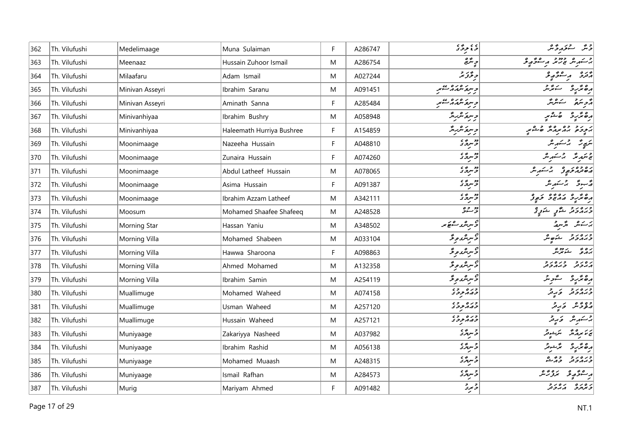| 362 | Th. Vilufushi | Medelimaage          | Muna Sulaiman             | F  | A286747 | ه ، ، و ، ،<br> و ، مرو د              | ر ئىگە سى <i>قىدۇ</i> ئىر             |
|-----|---------------|----------------------|---------------------------|----|---------|----------------------------------------|---------------------------------------|
| 363 | Th. Vilufushi | Meenaaz              | Hussain Zuhoor Ismail     | M  | A286754 | حريثره                                 |                                       |
| 364 | Th. Vilufushi | Milaafaru            | Adam Ismail               | M  | A027244 | و ۇرگە                                 | ورو پر شرقه و                         |
| 365 | Th. Vilufushi | Minivan Asseyri      | Ibrahim Saranu            | M  | A091451 | ج سرة معدد مصر                         | ە ھېڭرىرى<br>برھېڭرىرى<br>سە ئەشرىتىر |
| 366 | Th. Vilufushi | Minivan Asseyri      | Aminath Sanna             | F  | A285484 | ح سره مهره منه<br>مسره سمد د کشمیر     | ېز په سره<br>مرس<br>سە ئەرتىر         |
| 367 | Th. Vilufushi | Minivanhiyaa         | Ibrahim Bushry            | M  | A058948 | <sub>حە مىر</sub> يۇ مىرىدۇ            | رەنزىر ھىشىر                          |
| 368 | Th. Vilufushi | Minivanhiyaa         | Haleemath Hurriya Bushree | F  | A154859 | ا <sub>چ</sub> سرهٔ مثر بردگر<br>مسیر  |                                       |
| 369 | Th. Vilufushi | Moonimaage           | Nazeeha Hussain           | F  | A048810 | دو په په<br>تر سرچ ک                   | سىپەر ئەسىرىش                         |
| 370 | Th. Vilufushi | Moonimaage           | Zunaira Hussain           | F. | A074260 | دو په په<br>تر سرچ ی                   | يمته بم به مسلم المسلم الم            |
| 371 | Th. Vilufushi | Moonimaage           | Abdul Latheef Hussain     | M  | A078065 | ود سرچری                               | גם כפנג פי געות ה                     |
| 372 | Th. Vilufushi | Moonimaage           | Asima Hussain             | F  | A091387 | ود پرون <sub>ځ</sub><br>تر سرچنۍ       | ەسىدۇ بەسىر                           |
| 373 | Th. Vilufushi | Moonimaage           | Ibrahim Azzam Latheef     | M  | A342111 | ادو<br>ان سرچ کی                       |                                       |
| 374 | Th. Vilufushi | Moosum               | Mohamed Shaafee Shafeeq   | M  | A248528 | دد وه                                  | ورورو الشرار الموالي                  |
| 375 | Th. Vilufushi | Morning Star         | Hassan Yaniu              | M  | A348502 | ر<br>ئەسرىلىمى <b>سى</b> ھىم           | برُسكاش الرَّسمةِ                     |
| 376 | Th. Vilufushi | Morning Villa        | Mohamed Shabeen           | M  | A033104 | ۇ سرىگىدىر قە                          | ورەرو شەھىر                           |
| 377 | Th. Vilufushi | Morning Villa        | Hawwa Sharoona            | F. | A098863 | <sup>9</sup> سرىگىدى <sub>رى</sub> مَى | رە بەردە<br>برادى شەھرىس              |
| 378 | Th. Vilufushi | <b>Morning Villa</b> | Ahmed Mohamed             | M  | A132358 | دمسر مثند عرقحه                        | ג סג כ ג סג כ<br>גג כ ג ק ג ק ב ג     |
| 379 | Th. Vilufushi | Morning Villa        | Ibrahim Samin             | M  | A254119 | <sup>9</sup> سرىندىمە ئە               | ەرھەترىر <sup>ە</sup><br>شەھ بىر      |
| 380 | Th. Vilufushi | Muallimuge           | Mohamed Waheed            | M  | A074158 | وره وء                                 | ورەر دىر د                            |
| 381 | Th. Vilufushi | Muallimuge           | Usman Waheed              | M  | A257120 | وره وء                                 | وەۋە كەيد                             |
| 382 | Th. Vilufushi | Muallimuge           | Hussain Waheed            | M  | A257121 | وړه پرون<br>د <i>ډېر</i>               | يز سكر مثل التحرير وتر                |
| 383 | Th. Vilufushi | Muniyaage            | Zakariyya Nasheed         | M  | A037982 | و سرچ ۽<br>ح                           | ىم ئىرمەم ئىر ئىشىم                   |
| 384 | Th. Vilufushi | Muniyaage            | Ibrahim Rashid            | M  | A056138 | د سرگری<br>ر                           | رەنۇرۇ بۇيىتو                         |
| 385 | Th. Vilufushi | Muniyaage            | Mohamed Muaash            | M  | A248315 | وسروء                                  | ورەرو وەھ                             |
| 386 | Th. Vilufushi | Muniyaage            | Ismail Rafhan             | M  | A284573 | د سرگری<br>تر سرگری                    | ر جۇرپۇ برور بور                      |
| 387 | Th. Vilufushi | Murig                | Mariyam Ahmed             | F. | A091482 | و<br>و بوي                             | נסנס נסנד.<br>כמתכ הנכת               |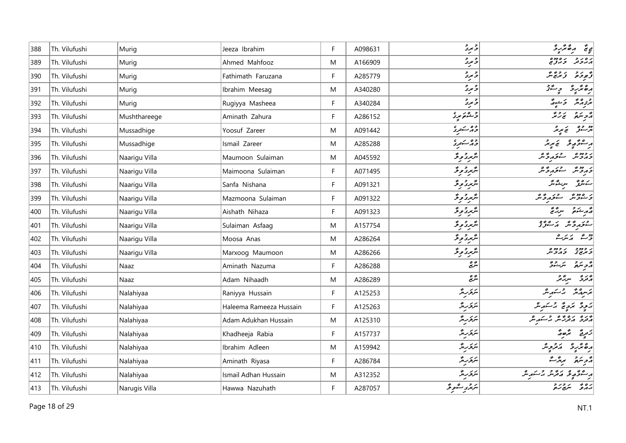| 388 | Th. Vilufushi | Murig         | Jeeza Ibrahim           | F         | A098631 | و برد<br>و برد                     | ې ته د <i>ه</i> ندره<br>په ن                            |
|-----|---------------|---------------|-------------------------|-----------|---------|------------------------------------|---------------------------------------------------------|
| 389 | Th. Vilufushi | Murig         | Ahmed Mahfooz           | ${\sf M}$ | A166909 | و برد<br>و برد                     | بر ه بر د<br>مرکز قر<br>ر و دو ه<br>تر بر تو مح         |
| 390 | Th. Vilufushi | Murig         | Fathimath Faruzana      | F         | A285779 | و برد<br>و برد                     | أوالمحج والمتحرج المحمدة المحمدة المحمدة المحمدة المتحر |
| 391 | Th. Vilufushi | Murig         | Ibrahim Meesag          | M         | A340280 | و<br>تر بوري                       |                                                         |
| 392 | Th. Vilufushi | Murig         | Rugiyya Masheea         | F         | A340284 | و برد<br>و برد                     | و وه کر خوړ ک                                           |
| 393 | Th. Vilufushi | Mushthareege  | Aminath Zahura          | F         | A286152 | <br> حرشه هوسری                    | و المعرض المعرفية المحمد                                |
| 394 | Th. Vilufushi | Mussadhige    | Yoosuf Zareer           | M         | A091442 | و ۵ مه کوری<br>مرگ                 | دو وه<br>در سور سي پر پر                                |
| 395 | Th. Vilufushi | Mussadhige    | Ismail Zareer           | ${\sf M}$ | A285288 | و ه رمه در <sup>ه</sup>            | رېشۇر ئىر                                               |
| 396 | Th. Vilufushi | Naarigu Villa | Maumoon Sulaiman        | M         | A045592 | ىدىر ئەر                           | גדמם בצגבת                                              |
| 397 | Th. Vilufushi | Naarigu Villa | Maimoona Sulaiman       | F         | A071495 | ىئرىر ئورگر                        | ۇردىر جۇرۇپر                                            |
| 398 | Th. Vilufushi | Naarigu Villa | Sanfa Nishana           | F         | A091321 | ىترىر ئەرقر                        | سَمَعْرُ سِمِعْمَدُ                                     |
| 399 | Th. Vilufushi | Naarigu Villa | Mazmoona Sulaiman       | F         | A091322 | مگرىرى <sub>گو</sub> رگە<br>م      | ەسىۋىتر سىۋەرگىر                                        |
| 400 | Th. Vilufushi | Naarigu Villa | Aishath Nihaza          | F         | A091323 | ىدىر ئەر                           | وگر خود سرگرمج<br>م                                     |
| 401 | Th. Vilufushi | Naarigu Villa | Sulaiman Asfaaq         | ${\sf M}$ | A157754 | شرىرى ئەرگە<br>سرىرى ئورگە         | در ده و در ۱۳۶۵<br>  سرگرمان از سرگر                    |
| 402 | Th. Vilufushi | Naarigu Villa | Moosa Anas              | ${\sf M}$ | A286264 | مژ <sub>ىرى</sub> <sub>ئو</sub> ئۇ | دینے پر پر ک                                            |
| 403 | Th. Vilufushi | Naarigu Villa | Marxoog Maumoon         | M         | A286266 | ىئرىرى ئوقر                        | ىر د دو ھ<br>ر و دو و<br>تر بمربح تح                    |
| 404 | Th. Vilufushi | Naaz          | Aminath Nazuma          | F         | A286288 | سرچ                                | أأدح المتحرج المراجع                                    |
| 405 | Th. Vilufushi | Naaz          | Adam Nihaadh            | M         | A286289 | سرچ                                | وره سرگار<br>مصرفی سرگاند                               |
| 406 | Th. Vilufushi | Nalahiyaa     | Raniyya Hussain         | F         | A125253 | يئر پخرېد پېژ                      | ביינגית גבותית                                          |
| 407 | Th. Vilufushi | Nalahiyaa     | Haleema Rameeza Hussain | F         | A125263 | يتزنجر بثر                         | رَ وِدَ أَ أَمْرِيمُ أَمْرِ مِنْ الْمَرْسِرِ            |
| 408 | Th. Vilufushi | Nalahiyaa     | Adam Adukhan Hussain    | M         | A125310 | يتزبزريم                           | وره ره وه و کرم                                         |
| 409 | Th. Vilufushi | Nalahiyaa     | Khadheeja Rabia         | F         | A157737 | يئر پخرېد پېژ                      | زَمْرِيحَ عَرَّهِ وَ                                    |
| 410 | Th. Vilufushi | Nalahiyaa     | Ibrahim Adleen          | ${\sf M}$ | A159942 | يترىخرىدىخر                        |                                                         |
| 411 | Th. Vilufushi | Nalahiyaa     | Aminath Riyasa          | F         | A286784 | يتزبرير                            |                                                         |
| 412 | Th. Vilufushi | Nalahiyaa     | Ismail Adhan Hussain    | ${\sf M}$ | A312352 | يتزنجر بثر                         | و مؤثر و رود و مرکز                                     |
| 413 | Th. Vilufushi | Narugis Villa | Hawwa Nazuhath          | F         | A287057 | ىئرى <sup>تى</sup> ر سىھوقە        | رەپ بەدىر                                               |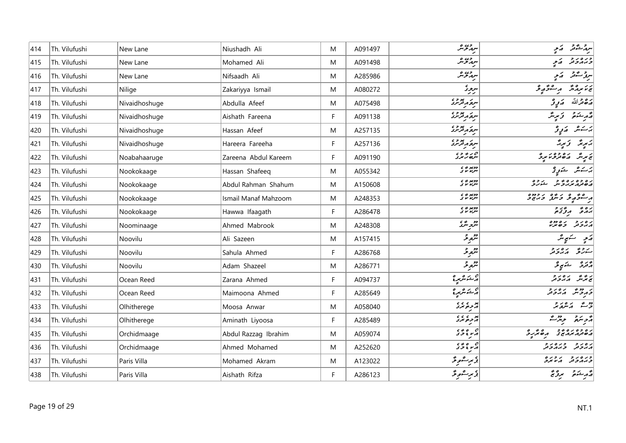| 414 | Th. Vilufushi | New Lane      | Niushadh Ali         | M         | A091497 | سرچينې                                          | $\frac{1}{2} \sum_{i=1}^{n} \frac{1}{2} \sum_{j=1}^{n} \frac{1}{2} \sum_{j=1}^{n} \frac{1}{2} \sum_{j=1}^{n} \frac{1}{2} \sum_{j=1}^{n} \frac{1}{2} \sum_{j=1}^{n} \frac{1}{2} \sum_{j=1}^{n} \frac{1}{2} \sum_{j=1}^{n} \frac{1}{2} \sum_{j=1}^{n} \frac{1}{2} \sum_{j=1}^{n} \frac{1}{2} \sum_{j=1}^{n} \frac{1}{2} \sum_{j=1}^{n} \frac{1}{2} \sum_{j=1}^{n$ |
|-----|---------------|---------------|----------------------|-----------|---------|-------------------------------------------------|-----------------------------------------------------------------------------------------------------------------------------------------------------------------------------------------------------------------------------------------------------------------------------------------------------------------------------------------------------------------|
| 415 | Th. Vilufushi | New Lane      | Mohamed Ali          | M         | A091498 | سردمیمر                                         | ورەرو كەير                                                                                                                                                                                                                                                                                                                                                      |
| 416 | Th. Vilufushi | New Lane      | Nifsaadh Ali         | M         | A285986 | سردمیمر                                         | سوقر يمو                                                                                                                                                                                                                                                                                                                                                        |
| 417 | Th. Vilufushi | Nilige        | Zakariyya Ismail     | ${\sf M}$ | A080272 | سربور<br>- -                                    |                                                                                                                                                                                                                                                                                                                                                                 |
| 418 | Th. Vilufushi | Nivaidhoshuge | Abdulla Afeef        | ${\sf M}$ | A075498 | سرە مەدىرى<br>سىر                               | برە دالله مەرد و                                                                                                                                                                                                                                                                                                                                                |
| 419 | Th. Vilufushi | Nivaidhoshuge | Aishath Fareena      | F         | A091138 | سرچر چود ۽<br>سرچ مرڪز سرچ                      | وأرجلتم وتبرش                                                                                                                                                                                                                                                                                                                                                   |
| 420 | Th. Vilufushi | Nivaidhoshuge | Hassan Afeef         | M         | A257135 | سرچر پیر و ۽<br>سرچ مرفتر سرچ                   | ير سەش كەردى                                                                                                                                                                                                                                                                                                                                                    |
| 421 | Th. Vilufushi | Nivaidhoshuge | Hareera Fareeha      | F         | A257136 | سرچە جە د ي<br>سرچە پەنگەنزى                    | رُمِرِيْنَ وَمِرِيْنَ                                                                                                                                                                                                                                                                                                                                           |
| 422 | Th. Vilufushi | Noabahaaruge  | Zareena Abdul Kareem | F         | A091190 | ەر پە د ،<br>سرھ ئرىرى                          | كم يرىتش مەھ بىر دە يېزى                                                                                                                                                                                                                                                                                                                                        |
| 423 | Th. Vilufushi | Nookokaage    | Hassan Shafeeq       | M         | A055342 | وویو پر ہ<br>سربر رکھ ت                         | ر <i>ز کشمی</i> استمو <sub>ی</sub> و                                                                                                                                                                                                                                                                                                                            |
| 424 | Th. Vilufushi | Nookokaage    | Abdul Rahman Shahum  | M         | A150608 | وویو پر پر<br>سربر رکھ ت                        | ره وه ره د و و د وه<br>پره توپر تر سر شور و                                                                                                                                                                                                                                                                                                                     |
| 425 | Th. Vilufushi | Nookokaage    | Ismail Manaf Mahzoom | ${\sf M}$ | A248353 | وویو پر پر<br>سویں ما ی                         | ر موځ په ده ده دره د ده د                                                                                                                                                                                                                                                                                                                                       |
| 426 | Th. Vilufushi | Nookokaage    | Hawwa Ifaagath       | F         | A286478 | دوپر در د<br>سربر بر د                          | ره په مورد و                                                                                                                                                                                                                                                                                                                                                    |
| 427 | Th. Vilufushi | Noominaage    | Ahmed Mabrook        | M         | A248308 | ترېږ شو،                                        | גם גם גם בכם<br>הגבת בשיגע                                                                                                                                                                                                                                                                                                                                      |
| 428 | Th. Vilufushi | Noovilu       | Ali Sazeen           | M         | A157415 | يتروخه                                          | $ \vec{k}$ $\vec{k}$ $\rightarrow$ $ \vec{k} $                                                                                                                                                                                                                                                                                                                  |
| 429 | Th. Vilufushi | Noovilu       | Sahula Ahmed         | F         | A286768 | يتروخه                                          | سترجى برە رو                                                                                                                                                                                                                                                                                                                                                    |
| 430 | Th. Vilufushi | Noovilu       | Adam Shazeel         | M         | A286771 | يتروخه                                          | أرترو شكوى                                                                                                                                                                                                                                                                                                                                                      |
| 431 | Th. Vilufushi | Ocean Reed    | Zarana Ahmed         | F         | A094737 | $\sqrt[3]{2\pi\sum_{i=1}^{n}$                   | ىر ئەش مەردىر                                                                                                                                                                                                                                                                                                                                                   |
| 432 | Th. Vilufushi | Ocean Reed    | Maimoona Ahmed       | F         | A285649 | پر ڪئير مرحد ج                                  | أوردوه بره رو                                                                                                                                                                                                                                                                                                                                                   |
| 433 | Th. Vilufushi | Olhitherege   | Moosa Anwar          | M         | A058040 | پو <sub>س</sub> ه ی ی<br>  <i>هر نو</i> حو بوری | وحث ما معرضه                                                                                                                                                                                                                                                                                                                                                    |
| 434 | Th. Vilufushi | Olhitherege   | Aminath Liyoosa      | F         | A285489 | پو <sub>س</sub> ه ی ی<br>  <i>هر نو</i> حو بوری | أزويته وازيم                                                                                                                                                                                                                                                                                                                                                    |
| 435 | Th. Vilufushi | Orchidmaage   | Abdul Razzag Ibrahim | M         | A059074 |                                                 | גם כסגם בב כפי פ                                                                                                                                                                                                                                                                                                                                                |
| 436 | Th. Vilufushi | Orchidmaage   | Ahmed Mohamed        | M         | A252620 | ه موء ته<br>مرد ترد                             | נפנד בנסנד<br>הגבת בגהבת                                                                                                                                                                                                                                                                                                                                        |
| 437 | Th. Vilufushi | Paris Villa   | Mohamed Akram        | M         | A123022 | دیمرے موقتہ                                     | כנסנכ נכנס<br>כגמכת העיב                                                                                                                                                                                                                                                                                                                                        |
| 438 | Th. Vilufushi | Paris Villa   | Aishath Rifza        | F         | A286123 | ۇ برىشوقە                                       | وكرم شكوم محرقومج                                                                                                                                                                                                                                                                                                                                               |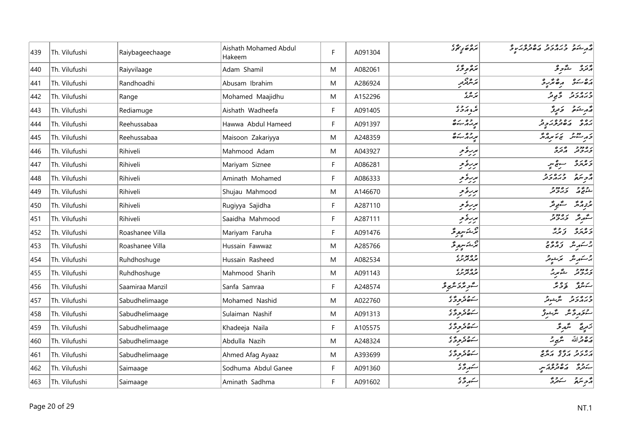| 439 | Th. Vilufushi | Raiybageechaage | Aishath Mohamed Abdul<br>Hakeem | F. | A091304 | ره ر در پر د<br>مرده و گرد                      | و در در در در در دود بر و                               |
|-----|---------------|-----------------|---------------------------------|----|---------|-------------------------------------------------|---------------------------------------------------------|
| 440 | Th. Vilufushi | Raiyvilaage     | Adam Shamil                     | M  | A082061 | ىرە ھەتىي                                       | د دره شگار و                                            |
| 441 | Th. Vilufushi | Randhoadhi      | Abusam Ibrahim                  | M  | A286924 | برەج                                            |                                                         |
| 442 | Th. Vilufushi | Range           | Mohamed Maajidhu                | M  | A152296 | ر ہ ،<br>برسر                                   | ورەر د ئېتر                                             |
| 443 | Th. Vilufushi | Rediamuge       | Aishath Wadheefa                | F  | A091405 | ې د دې<br>مرد تر د د                            | مەرشىق كۆرگە                                            |
| 444 | Th. Vilufushi | Reehussabaa     | Hawwa Abdul Hameed              | F  | A091397 | ىر ئەم بەيھ                                     |                                                         |
| 445 | Th. Vilufushi | Reehussabaa     | Maisoon Zakariyya               | M  | A248359 | ا پر پر <sub>پر س</sub> ره<br>په پر کر ښوځ      | בֿתְבְיִת אַטְצְתֵת                                     |
| 446 | Th. Vilufushi | Rihiveli        | Mahmood Adam                    | M  | A043927 | بررؤو                                           | ر ס כב כי כי כי<br>קיג כי מרי הרי ה                     |
| 447 | Th. Vilufushi | Rihiveli        | Mariyam Siznee                  | F. | A086281 | ىرر ئە<br>ئەرگۈ                                 | ر ه ر ه<br><del>و</del> بربرو<br>سىدىم يېر              |
| 448 | Th. Vilufushi | Rihiveli        | Aminath Mohamed                 | F  | A086333 | ىررى<br>مەركى                                   | و ره ر د<br><i>و پر</i> و تر<br>ا مجمع سرچ<br>انگرېبندي |
| 449 | Th. Vilufushi | Rihiveli        | Shujau Mahmood                  | M  | A146670 | ىررى<br>ئەرگۈ                                   | و د و د د و و د<br>شونع در کارگرفتر                     |
| 450 | Th. Vilufushi | Rihiveli        | Rugiyya Sajidha                 | F  | A287110 | ىرر ئە<br>ئەرگۈ                                 | ا ترتو پر پیش سنگور ترک<br>انگریز پر پر سنگور ترک       |
| 451 | Th. Vilufushi | Rihiveli        | Saaidha Mahmood                 | F  | A287111 | ىرر ء كو<br>مركز م                              | ر ۵ ۶۶ و<br>تربر تر تو<br>ستهرمتر                       |
| 452 | Th. Vilufushi | Roashanee Villa | Mariyam Faruha                  | F  | A091476 | چړېئه <sub>موجو</sub> مخه<br>مستقب <sup>ر</sup> | رەرە روپ                                                |
| 453 | Th. Vilufushi | Roashanee Villa | Hussain Fawwaz                  | M  | A285766 | ترىئەسرە قە                                     | جر شهر مره و در در د                                    |
| 454 | Th. Vilufushi | Ruhdhoshuge     | Hussain Rasheed                 | M  | A082534 | و ه پر و ،<br>برد تر سر پر                      | رح سكر مكر الكر كالحيات المحر                           |
| 455 | Th. Vilufushi | Ruhdhoshuge     | Mahmood Sharih                  | M  | A091143 | و ۵ مو و ۷<br>مو <sub>ا</sub> د توسری           | رەددو شەرد                                              |
| 456 | Th. Vilufushi | Saamiraa Manzil | Sanfa Samraa                    | F  | A248574 | سە <sub>چە ئ</sub> ۆر ش <sub>ەپ</sub> رۇ        | سەمىر ئۇچە                                              |
| 457 | Th. Vilufushi | Sabudhelimaage  | Mohamed Nashid                  | M  | A022760 | شەھ ترىر ۋى                                     | ورەرو شەد                                               |
| 458 | Th. Vilufushi | Sabudhelimaage  | Sulaiman Nashif                 | M  | A091313 | ر ده د ده و<br>سره تر پر د                      |                                                         |
| 459 | Th. Vilufushi | Sabudhelimaage  | Khadeeja Naila                  | F  | A105575 | ر ده تر پر پ                                    | رَسِيعٌ سَمَدِ وَّ                                      |
| 460 | Th. Vilufushi | Sabudhelimaage  | Abdulla Nazih                   | M  | A248324 | شەھ ترىر ۋى                                     | مَدْهُ قَدْاللّهَ مُتَّرَىّهِ ثُمَّ                     |
| 461 | Th. Vilufushi | Sabudhelimaage  | Ahmed Afag Ayaaz                | M  | A393699 | ر ده تر پر په<br>سره تر پر په                   | ג 2 גם גם 2 גם 2<br>גגבת גצע גת                         |
| 462 | Th. Vilufushi | Saimaage        | Sodhuma Abdul Ganee             | F. | A091360 | ستهروى                                          | ب دو ده دود کرد.                                        |
| 463 | Th. Vilufushi | Saimaage        | Aminath Sadhma                  | F. | A091602 | سكهروء                                          | أثرم شورية                                              |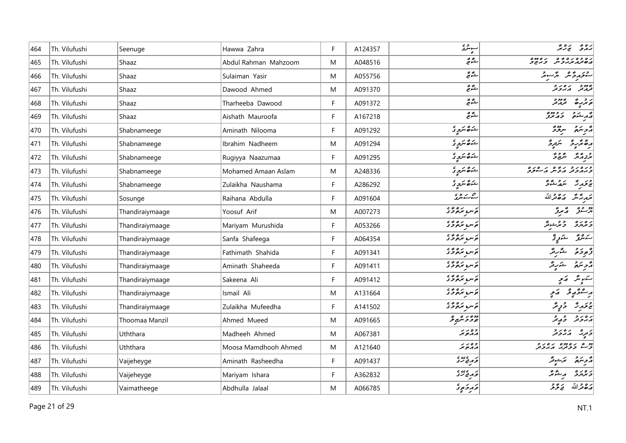| 464 | Th. Vilufushi | Seenuge         | Hawwa Zahra          | F  | A124357 | سويىتى<br>ئە                | 2020000                                                   |
|-----|---------------|-----------------|----------------------|----|---------|-----------------------------|-----------------------------------------------------------|
| 465 | Th. Vilufushi | Shaaz           | Abdul Rahman Mahzoom | M  | A048516 | يدمج                        | נס כס נס זים מסכנס<br>השנג גיג כיני פיניז כ               |
| 466 | Th. Vilufushi | Shaaz           | Sulaiman Yasir       | M  | A055756 | شەم                         | ستخدِدَ مُدَ الرَّسِيدُ                                   |
| 467 | Th. Vilufushi | Shaaz           | Dawood Ahmed         | M  | A091370 | ىشىم                        | بر 2 بر 15<br>مربر <del>5</del> قر<br>پر دو و<br>تو پر تو |
| 468 | Th. Vilufushi | Shaaz           | Tharheeba Dawood     | F. | A091372 | يدم                         | ر د په پ <sup>چ</sup><br>پر دو و.<br>تور <i>ه</i> تور     |
| 469 | Th. Vilufushi | Shaaz           | Aishath Mauroofa     | F  | A167218 | ىشىم                        | پر ديگر ج<br>مرگه مشتوي<br>ر و دور<br>تر پر تر            |
| 470 | Th. Vilufushi | Shabnameege     | Aminath Nilooma      | F  | A091292 | ے ک <i>ے سرح ک</i>          | أرمر بمرد<br>سرچری                                        |
| 471 | Th. Vilufushi | Shabnameege     | Ibrahim Nadheem      | M  | A091294 | شەھ س <i>رچ</i> ئ           | ەرھەترىر <sup>ە</sup><br>سربرو                            |
| 472 | Th. Vilufushi | Shabnameege     | Rugiyya Naazumaa     | F  | A091295 | ے ک <i>ے سرح ک</i>          | و په هغه<br>مرتو د در<br>شرح پی                           |
| 473 | Th. Vilufushi | Shabnameege     | Mohamed Amaan Aslam  | M  | A248336 | ے ک <i>ی سرح ک</i>          | כנסגב גם גם בס<br>בגהכת הכית ה-יבב                        |
| 474 | Th. Vilufushi | Shabnameege     | Zulaikha Naushama    | F. | A286292 | ر ده مر <sub>حو</sub> د     | سرد برخانه<br>چ ئۇ م <sup>ەش</sup>                        |
| 475 | Th. Vilufushi | Sosunge         | Raihana Abdulla      | F  | A091604 | <u>م ئەيدى</u>              | بحدير بمحقة وكالله                                        |
| 476 | Th. Vilufushi | Thandiraiymaage | Yoosuf Arif          | M  | A007273 | ئۆسرە ئىبرە ئ <sup>ىب</sup> | دو وه په په په په ک                                       |
| 477 | Th. Vilufushi | Thandiraiymaage | Mariyam Murushida    | F  | A053266 | ە سرىم بۇ                   | رەرە دوسۇ                                                 |
| 478 | Th. Vilufushi | Thandiraiymaage | Sanfa Shafeega       | F  | A064354 | ە سرە ئىھ ۋ ئ               | سەمىر ئىستىمى ئىستىمىتى ئى                                |
| 479 | Th. Vilufushi | Thandiraiymaage | Fathimath Shahida    | F. | A091341 | ر<br>ئۇسوبىر <i>ە دى</i>    | ىشەر بەر<br>ر<br>ۇ بوزىر<br>ت                             |
| 480 | Th. Vilufushi | Thandiraiymaage | Aminath Shaheeda     | F  | A091411 | ر<br>مۇسىي ئىبرو ئ          | أأروسهم<br>شەرقر                                          |
| 481 | Th. Vilufushi | Thandiraiymaage | Sakeena Ali          | F. | A091412 | ىز سرە ئەرەپ ئە             | سەر پىتىر<br>ەتىر                                         |
| 482 | Th. Vilufushi | Thandiraiymaage | Ismail Ali           | M  | A131664 | ائر سو ئىرە دى<br>م         | وستتجدفه<br>ەتىر                                          |
| 483 | Th. Vilufushi | Thandiraiymaage | Zulaikha Mufeedha    | F. | A141502 | ائم سو ئىۋود                | ە ئەرتە<br>ئ<br>تر و تر                                   |
| 484 | Th. Vilufushi | Thoomaa Manzil  | Ahmed Mueed          | M  | A091665 | « پر به عربه عر             | رەرو ورو                                                  |
| 485 | Th. Vilufushi | Uththara        | Madheeh Ahmed        | M  | A067381 | د ه د ر<br>مرمونژ           | د مړه د مرد د                                             |
| 486 | Th. Vilufushi | Uththara        | Moosa Mamdhooh Ahmed | M  | A121640 | وه ر ر<br>مرمونتر           | دو مه بره ده بر در و<br>در سند و د تربر از بر و تر        |
| 487 | Th. Vilufushi | Vaijeheyge      | Aminath Rasheedha    | F  | A091437 | ر<br>تو دي ري               | أأترجع أتراسي ومحر                                        |
| 488 | Th. Vilufushi | Vaijeheyge      | Mariyam Ishara       | F. | A362832 | ر<br>تو در ج ر د            | ر ه بر ه<br>تر <del>ب</del> ر بر ژ<br>دستيتر              |
| 489 | Th. Vilufushi | Vaimatheege     | Abdhulla Jalaal      | M  | A066785 | و د د ځمو د                 | مَەهْ قَدَاللّه قَعَ قَرْقَرْ                             |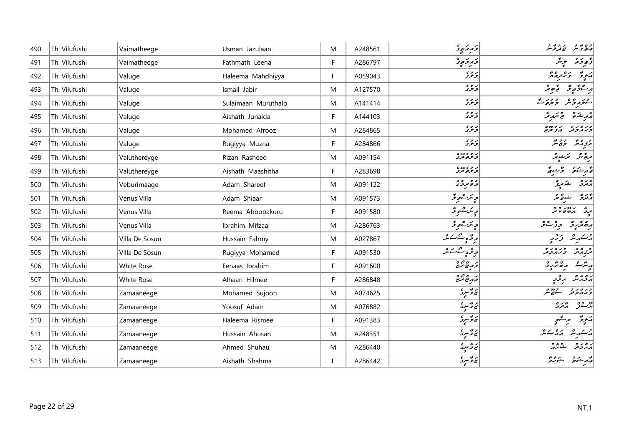| 490 | Th. Vilufushi | Vaimatheege       | Usman Jazulaan      | M         | A248561 | <br>  عدمر حرمو ح                               | وه د د د و د د<br>مۇگىر ئىزگىر                            |
|-----|---------------|-------------------|---------------------|-----------|---------|-------------------------------------------------|-----------------------------------------------------------|
| 491 | Th. Vilufushi | Vaimatheege       | Fathmath Leena      | F         | A286797 | ر<br>وګړونو د                                   | قەددە بېتر                                                |
| 492 | Th. Vilufushi | Valuge            | Haleema Mahdhiyya   | F         | A059043 | ر و ،<br>حرم د                                  | بروژ دروروژ                                               |
| 493 | Th. Vilufushi | Valuge            | Ismail Jabir        | M         | A127570 | ر و ،<br>حر بی                                  | وكور قوم                                                  |
| 494 | Th. Vilufushi | Valuge            | Sulaimaan Muruthalo | M         | A141414 | ر و ،<br>و <del>و</del> و                       | لتوروش ويروث                                              |
| 495 | Th. Vilufushi | Valuge            | Aishath Junaida     | F.        | A144103 | ر و ،<br>و <del>و</del> و                       | مەر شەھ قى سىر قىل                                        |
| 496 | Th. Vilufushi | Valuge            | Mohamed Afrooz      | M         | A284865 | د و ،                                           | بر 32.2 م<br>مرکز محرج<br>و ره ر و<br><i>و پر</i> و تر    |
| 497 | Th. Vilufushi | Valuge            | Rugiyya Muzna       | F         | A284866 | ر و ،<br>ح <del>و</del> د                       | جرو معرض العراقية<br>  جرو مركز العراقية                  |
| 498 | Th. Vilufushi | Valuthereyge      | Rizan Rasheed       | ${\sf M}$ | A091154 | ر و ، د، ،<br>و <del>و</del> ه مرد              | ىرىج ئىر - ئرىشوتر                                        |
| 499 | Th. Vilufushi | Valuthereyge      | Aishath Maashitha   | F         | A283698 | ر و ، ر، ،<br>و <del>ز</del> بو بر <sub>ک</sub> | أمار مشكم وأشدام                                          |
| 500 | Th. Vilufushi | Veburimaage       | Adam Shareef        | ${\sf M}$ | A091122 | ه د په په<br>وه مرد د                           | أرترو شريرو                                               |
| 501 | Th. Vilufushi | Venus Villa       | Adam Shiaar         | M         | A091573 | ءِ سَرَڪْءِ مَحَر                               | شەرگە تر<br>پور ہ<br>پر تر تر                             |
| 502 | Th. Vilufushi | Venus Villa       | Reema Aboobakuru    | F         | A091580 | <sub>عو</sub> مئز ش <sub>عر</sub> محر           |                                                           |
| 503 | Th. Vilufushi | Venus Villa       | Ibrahim Mifzaal     | M         | A286763 | <sub>حو</sub> يتر <u>صوتر</u>                   | ىر ۋېشۇ<br>ەر ھەترىر <i>3</i>                             |
| 504 | Th. Vilufushi | Villa De Sosun    | Hussain Fahmy       | M         | A027867 | <sub>حو</sub> ځه په ۲۰۰ <u>۵ ک</u>              | برستهر شد وكرجي                                           |
| 505 | Th. Vilufushi | Villa De Sosun    | Rugiyya Mohamed     | F         | A091530 | ا <sub>ھ قحی</sub> پاکستانگر<br>م               | و رە ر د<br><i>د بە</i> گەر<br>تر تو مر مر<br>سر تو مر مر |
| 506 | Th. Vilufushi | White Rose        | Eenaas Ibrahim      | F         | A091600 | ر وه ه ه<br>وره عر                              | ر پٿر شه<br>ەرھەترىر <sup>ى</sup>                         |
| 507 | Th. Vilufushi | <b>White Rose</b> | Alhaan Hilmee       | F         | A286848 |                                                 | أرومه برود                                                |
| 508 | Th. Vilufushi | Zamaaneege        | Mohamed Sujoon      | M         | A074625 | ئە ئەسپە                                        | ستود چر<br>و ره ر و<br>د بر د تر تر                       |
| 509 | Th. Vilufushi | Zamaaneege        | Yoosuf Adam         | M         | A076882 | ىر ئەسرى<br>ئى قرىس                             | دژ شو ژ<br>پور ہ<br>مرکزو                                 |
| 510 | Th. Vilufushi | Zamaaneege        | Haleema Rismee      | F         | A091383 | ئەۋسىدى                                         | پرَ پِرْ مِنْ سِرْ پِ                                     |
| 511 | Th. Vilufushi | Zamaaneege        | Hussain Ahusan      | M         | A248351 | ئەۋسپەئە                                        |                                                           |
| 512 | Th. Vilufushi | Zamaaneege        | Ahmed Shuhau        | M         | A286440 | <br>  ئاڭرىپىدىكە                               | مشوشر ثر<br>پر و پر و                                     |
| 513 | Th. Vilufushi | Zamaaneege        | Aishath Shahma      | F         | A286442 | ىر ئۇ بېرى<br>ئى                                | أوار مشكوم المستور                                        |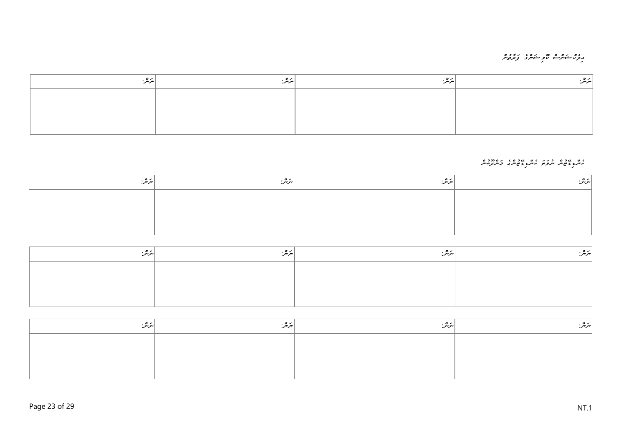## *w7qAn8m? sCw7mRo>u; wEw7mRw;sBo<*

| ' مرمر | 'يئرىثر: |
|--------|----------|
|        |          |
|        |          |
|        |          |

## *w7q9r@w7m> sCw7qHtFoFw7s; mAm=q7 w7qHtFoFw7s;*

| ىر تە | $\mathcal{O} \times$<br>$\sim$ | $\sim$<br>. . | لترنثر |
|-------|--------------------------------|---------------|--------|
|       |                                |               |        |
|       |                                |               |        |
|       |                                |               |        |

| انترنثر: | $^{\circ}$ | يبرهر | $^{\circ}$<br>سرسر |
|----------|------------|-------|--------------------|
|          |            |       |                    |
|          |            |       |                    |
|          |            |       |                    |

| ' ئىرتىر: | سر سر |  |
|-----------|-------|--|
|           |       |  |
|           |       |  |
|           |       |  |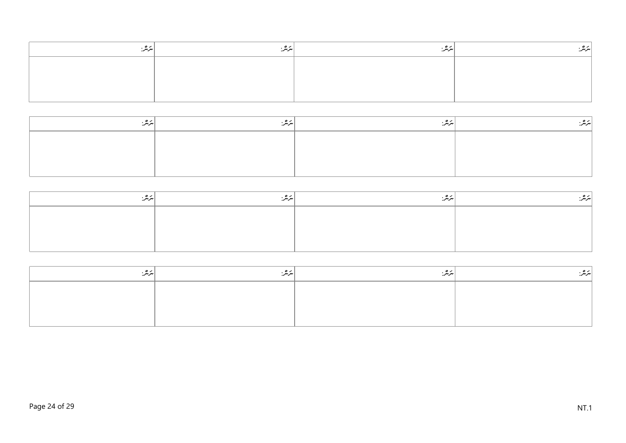| يره. | ο. | ا ير ه |  |
|------|----|--------|--|
|      |    |        |  |
|      |    |        |  |
|      |    |        |  |

| <sup>.</sup> سرسر. |  |
|--------------------|--|
|                    |  |
|                    |  |
|                    |  |

| ىئرىتر. | $\sim$ | ا بر هه. | لىرىش |
|---------|--------|----------|-------|
|         |        |          |       |
|         |        |          |       |
|         |        |          |       |

| 。<br>مرس. | $\overline{\phantom{a}}$<br>مر مىر | يتريثر |
|-----------|------------------------------------|--------|
|           |                                    |        |
|           |                                    |        |
|           |                                    |        |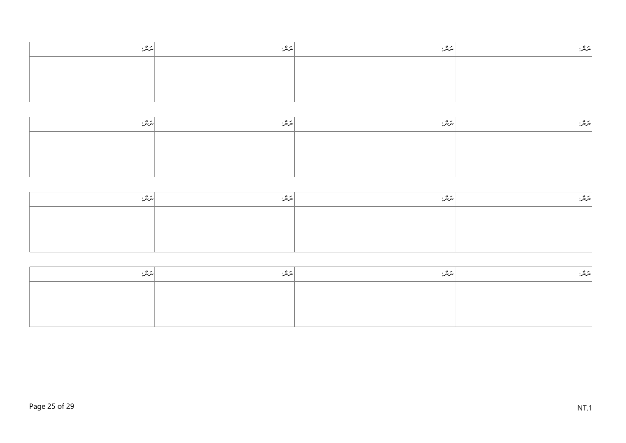| ير هو . | $\overline{\phantom{a}}$ | يرمر | اير هنه. |
|---------|--------------------------|------|----------|
|         |                          |      |          |
|         |                          |      |          |
|         |                          |      |          |

| ئىرتىر: | $\sim$<br>ا سرسر . | يئرمثر | o . |
|---------|--------------------|--------|-----|
|         |                    |        |     |
|         |                    |        |     |
|         |                    |        |     |

| انترنثر: | ر ه |  |
|----------|-----|--|
|          |     |  |
|          |     |  |
|          |     |  |

|  | . ه |
|--|-----|
|  |     |
|  |     |
|  |     |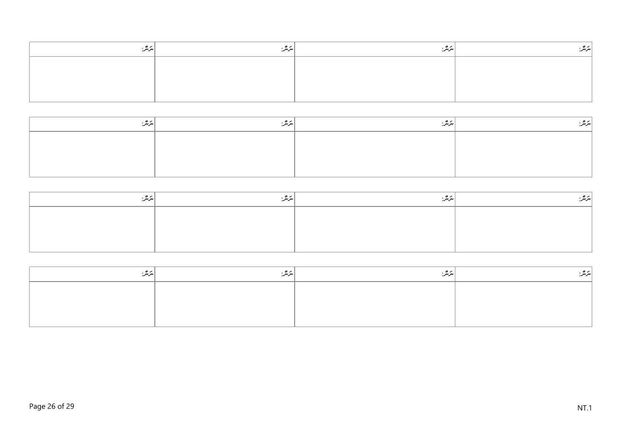| ير هو . | $\overline{\phantom{a}}$ | يرمر | اير هنه. |
|---------|--------------------------|------|----------|
|         |                          |      |          |
|         |                          |      |          |
|         |                          |      |          |

| ئىرتىر: | $\sim$<br>ا سرسر . | يئرمثر | o . |
|---------|--------------------|--------|-----|
|         |                    |        |     |
|         |                    |        |     |
|         |                    |        |     |

| 'تترنثر: | 。<br>,,,, |  |
|----------|-----------|--|
|          |           |  |
|          |           |  |
|          |           |  |

|  | . ه |
|--|-----|
|  |     |
|  |     |
|  |     |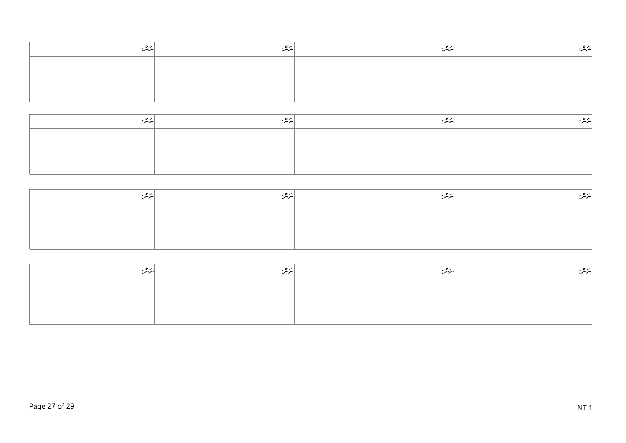| $\cdot$ | ο. | $\frac{\circ}{\cdot}$ | $\sim$<br>سرسر |
|---------|----|-----------------------|----------------|
|         |    |                       |                |
|         |    |                       |                |
|         |    |                       |                |

| يريثن | ' سرسر . |  |
|-------|----------|--|
|       |          |  |
|       |          |  |
|       |          |  |

| بر ه | 。 | $\sim$<br>َ سومس. |  |
|------|---|-------------------|--|
|      |   |                   |  |
|      |   |                   |  |
|      |   |                   |  |

| 。<br>. س | ىرىىر |  |
|----------|-------|--|
|          |       |  |
|          |       |  |
|          |       |  |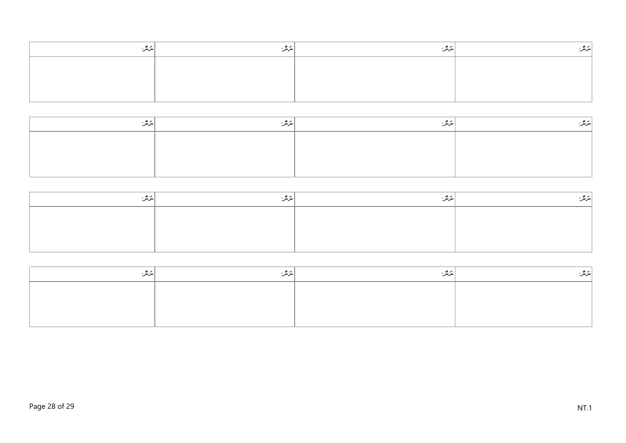| ير هو . | $\overline{\phantom{a}}$ | يرمر | لتزمثن |
|---------|--------------------------|------|--------|
|         |                          |      |        |
|         |                          |      |        |
|         |                          |      |        |

| ئىرتىر: | $\sim$<br>ا سرسر . | يئرمثر | o . |
|---------|--------------------|--------|-----|
|         |                    |        |     |
|         |                    |        |     |
|         |                    |        |     |

| انترنثر: | ر ه |  |
|----------|-----|--|
|          |     |  |
|          |     |  |
|          |     |  |

|  | . ه |
|--|-----|
|  |     |
|  |     |
|  |     |